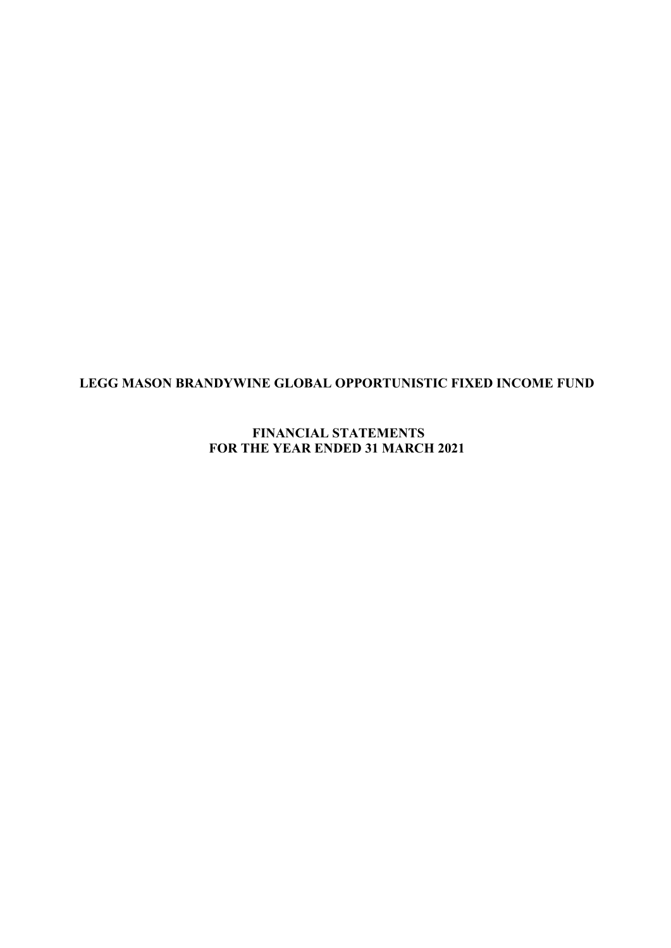**FINANCIAL STATEMENTS FOR THE YEAR ENDED 31 MARCH 2021**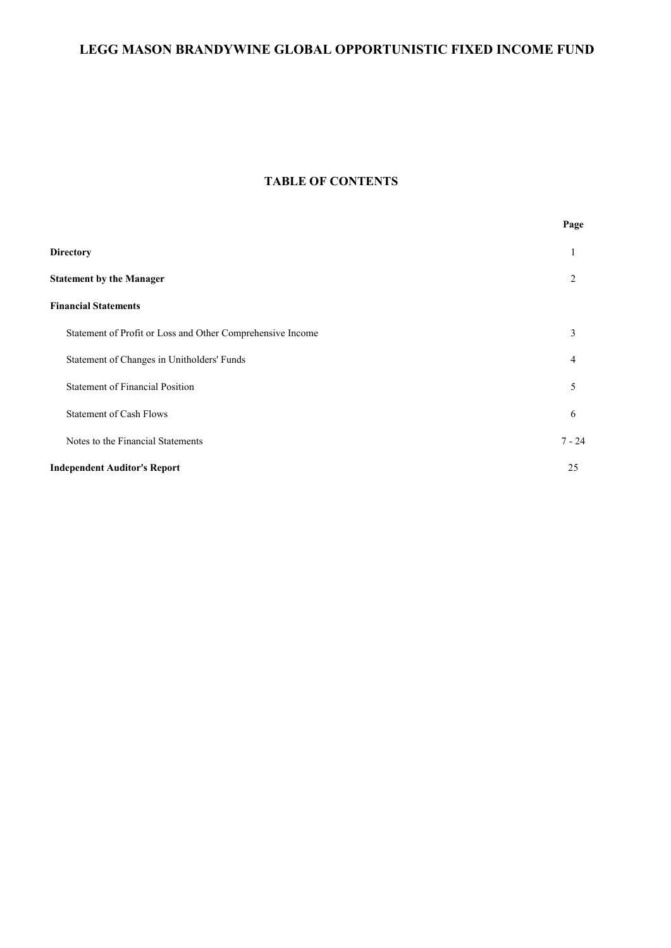# **TABLE OF CONTENTS**

| Page     |
|----------|
| 1        |
| 2        |
|          |
| 3        |
| 4        |
| 5        |
| 6        |
| $7 - 24$ |
| 25       |
|          |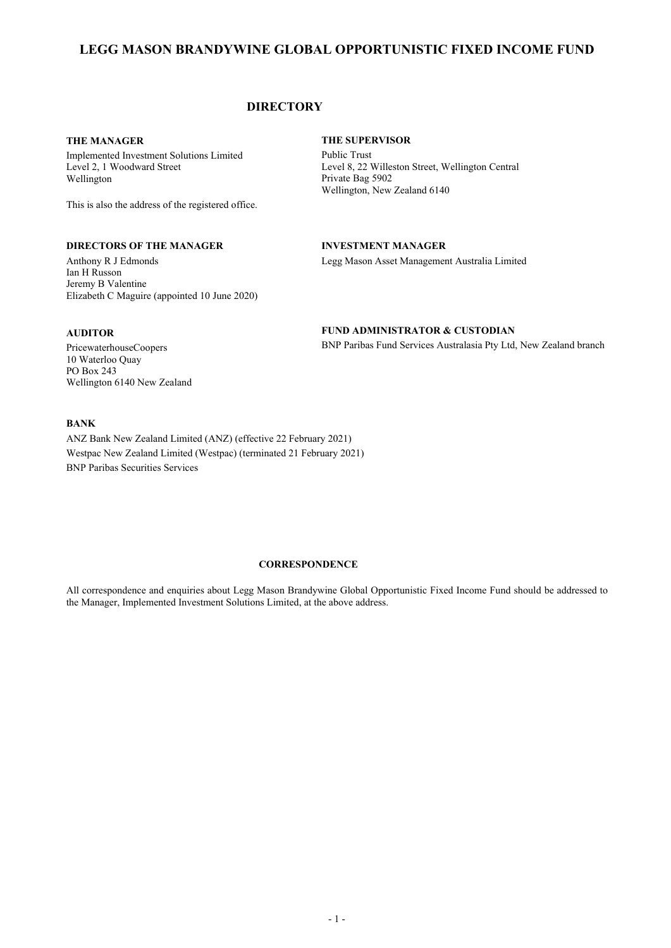# **DIRECTORY**

### **THE MANAGER**

Implemented Investment Solutions Limited Level 2, 1 Woodward Street Wellington

This is also the address of the registered office.

### **DIRECTORS OF THE MANAGER**

Anthony R J Edmonds Ian H Russon Jeremy B Valentine Elizabeth C Maguire (appointed 10 June 2020)

### **THE SUPERVISOR**

Public Trust Level 8, 22 Willeston Street, Wellington Central Private Bag 5902 Wellington, New Zealand 6140

### **INVESTMENT MANAGER**

Legg Mason Asset Management Australia Limited

**FUND ADMINISTRATOR & CUSTODIAN**

BNP Paribas Fund Services Australasia Pty Ltd, New Zealand branch

### **AUDITOR**

PricewaterhouseCoopers 10 Waterloo Quay PO Box 243 Wellington 6140 New Zealand

### **BANK**

ANZ Bank New Zealand Limited (ANZ) (effective 22 February 2021) Westpac New Zealand Limited (Westpac) (terminated 21 February 2021) BNP Paribas Securities Services

# **CORRESPONDENCE**

All correspondence and enquiries about Legg Mason Brandywine Global Opportunistic Fixed Income Fund should be addressed to the Manager, Implemented Investment Solutions Limited, at the above address.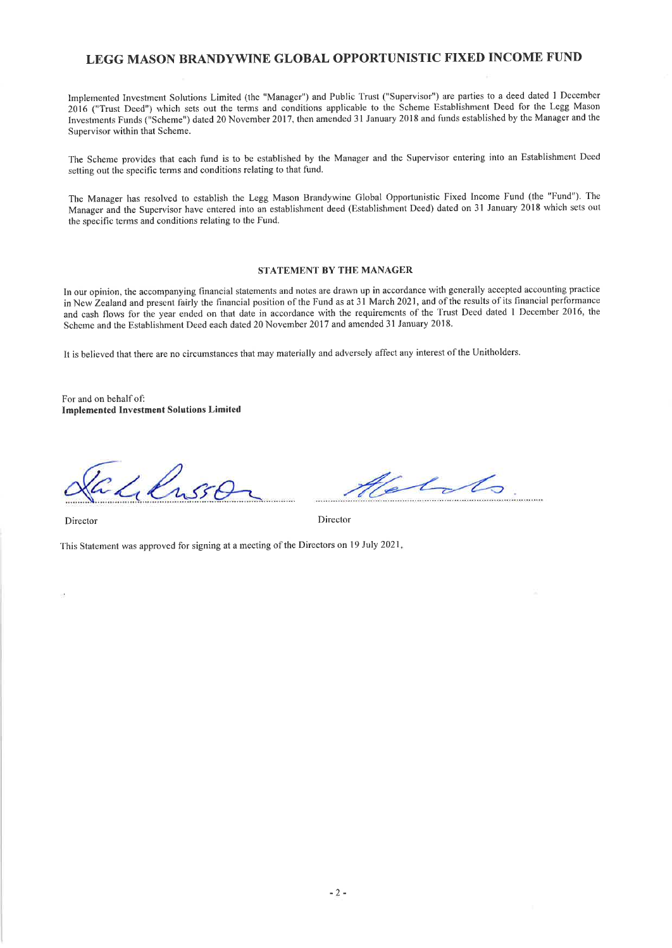Implemented Investment Solutions Limited (the "Manager") and Public Trust ("Supervisor") are parties to a deed dated I December 2016 ("Trust Deed") which sets out the terms and conditions applicable to the Scheme Establishment Deed for the Legg Mason Investments Funds ("Scheme") dated 20 November 2017, then amended 31 January 2018 and funds established by the Manager and the Supervisor within that Scheme.

The Scheme provides that each fund is to be established by the Manager and the Supervisor entering into an Establishrnent Deed setting out the specific terms and conditions relating to that fund.

The Manager has resolved to establish the Legg Mason Brandywine Global Opportunistic Fixed Income Fund (the "Fund"). The Manager and the Supervisor have entered into an establishment deed (Establishment Deed) dated on 3l January 2018 which sets out the specific terms and conditions relating to the Fund.

#### STATEMENT BY THE MANAGER

In our opinion, the accompanying financial statements and notes are drawn up in accordance with generally accepted accounting practice in New Zealand and present fairly the financial position of the Fund as at 31 March 2021, and of the results of its financial performance and cash flows for the year ended on that date in accordance with the requirements of the Trust Deed dated I December 2016, the Scherne and the Establishment Deed each dated 20 November 2017 and amended 3l January 2018.

It is believed that there are no circumstances that may materially and adversely affect any interest ofthe Unitholders.

For and on behalf of: Implemented Investment Solutions Limited

&a

Director Director

 $\mathcal{L}_{\tau}$ 

This Statement was approved for signing at a meeting of the Directors on 19 July 2021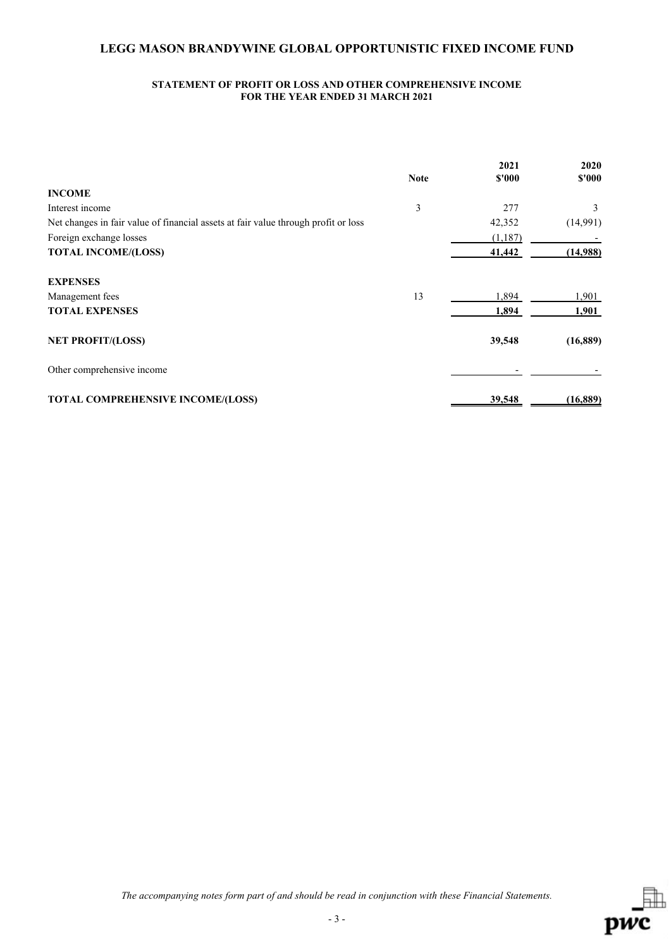### **STATEMENT OF PROFIT OR LOSS AND OTHER COMPREHENSIVE INCOME FOR THE YEAR ENDED 31 MARCH 2021**

|                                                                                    |             | 2021    | 2020      |
|------------------------------------------------------------------------------------|-------------|---------|-----------|
|                                                                                    | <b>Note</b> | \$'000  | \$'000    |
| <b>INCOME</b>                                                                      |             |         |           |
| Interest income                                                                    | 3           | 277     | 3         |
| Net changes in fair value of financial assets at fair value through profit or loss |             | 42,352  | (14,991)  |
| Foreign exchange losses                                                            |             | (1,187) |           |
| <b>TOTAL INCOME/(LOSS)</b>                                                         |             | 41,442  | (14,988)  |
| <b>EXPENSES</b>                                                                    |             |         |           |
| Management fees                                                                    | 13          | 1,894   | 1,901     |
| <b>TOTAL EXPENSES</b>                                                              |             | 1,894   | 1,901     |
| <b>NET PROFIT/(LOSS)</b>                                                           |             | 39,548  | (16, 889) |
| Other comprehensive income                                                         |             |         |           |
| TOTAL COMPREHENSIVE INCOME/(LOSS)                                                  |             | 39,548  | (16, 889) |

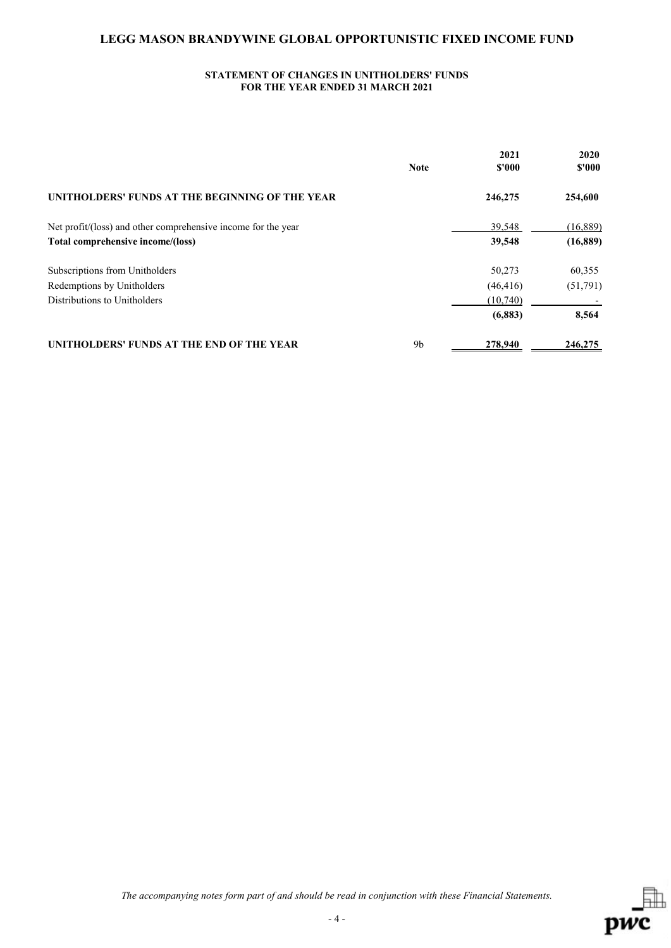### **STATEMENT OF CHANGES IN UNITHOLDERS' FUNDS FOR THE YEAR ENDED 31 MARCH 2021**

|                                                               |                | 2021      | 2020      |
|---------------------------------------------------------------|----------------|-----------|-----------|
|                                                               | <b>Note</b>    | \$'000    | \$'000    |
| UNITHOLDERS' FUNDS AT THE BEGINNING OF THE YEAR               |                | 246,275   | 254,600   |
| Net profit/(loss) and other comprehensive income for the year |                | 39,548    | (16,889)  |
| Total comprehensive income/(loss)                             |                | 39,548    | (16, 889) |
| Subscriptions from Unitholders                                |                | 50,273    | 60,355    |
| Redemptions by Unitholders                                    |                | (46, 416) | (51,791)  |
| Distributions to Unitholders                                  |                | (10.740)  |           |
|                                                               |                | (6,883)   | 8,564     |
| UNITHOLDERS' FUNDS AT THE END OF THE YEAR                     | 9 <sub>b</sub> | 278,940   | 246,275   |

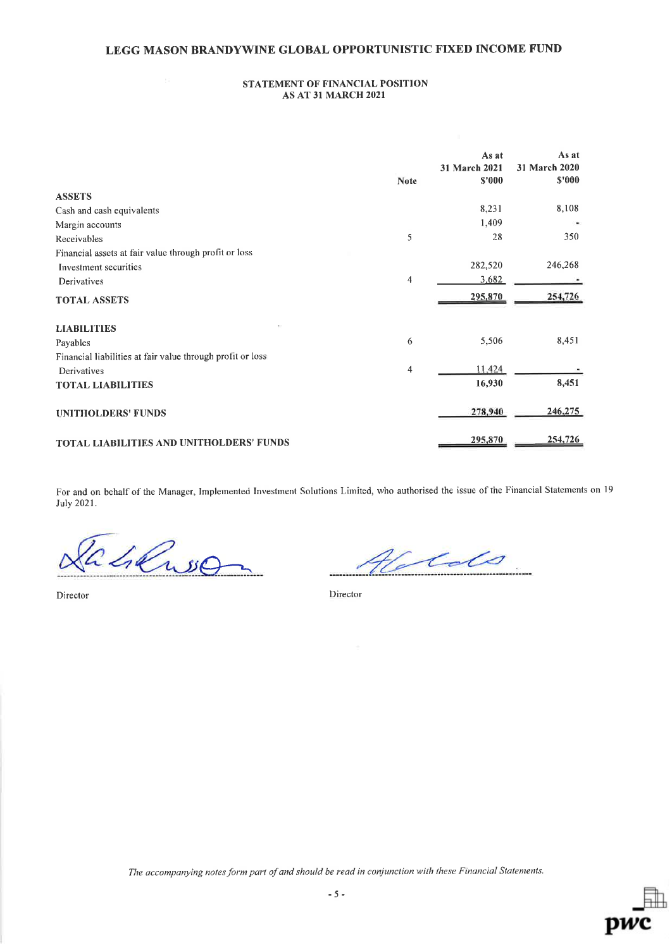### STATEMENT OF FINANCIAL POSITION AS AT 31 MARCH 2O2I

|                                                            |             | As at<br>31 March 2021 | As at<br>31 March 2020 |
|------------------------------------------------------------|-------------|------------------------|------------------------|
|                                                            | <b>Note</b> | \$'000                 | \$'000                 |
| <b>ASSETS</b>                                              |             |                        |                        |
| Cash and cash equivalents                                  |             | 8,231                  | 8,108                  |
| Margin accounts                                            |             | 1,409                  |                        |
| Receivables                                                | 5           | 28                     | 350                    |
| Financial assets at fair value through profit or loss      |             |                        |                        |
| Investment securities                                      |             | 282,520                | 246,268                |
| Derivatives                                                | 4           | 3,682                  |                        |
| <b>TOTAL ASSETS</b>                                        |             | 295,870                | 254,726                |
| <b>LIABILITIES</b>                                         |             |                        |                        |
| Payables                                                   | 6           | 5,506                  | 8,451                  |
| Financial liabilities at fair value through profit or loss |             |                        |                        |
| Derivatives                                                | 4           | 11.424                 |                        |
| <b>TOTAL LIABILITIES</b>                                   |             | 16,930                 | 8,451                  |
| <b>UNITHOLDERS' FUNDS</b>                                  |             | 278,940                | 246,275                |
| TOTAL LIABILITIES AND UNITHOLDERS' FUNDS                   |             | 295,870                | 254,726                |

For and on behalf of the Manager, Implemented Investment Solutions Limited, who authorised the issue of the Financial Statements on 19 July 2021.

Ellison

Director Director

colo.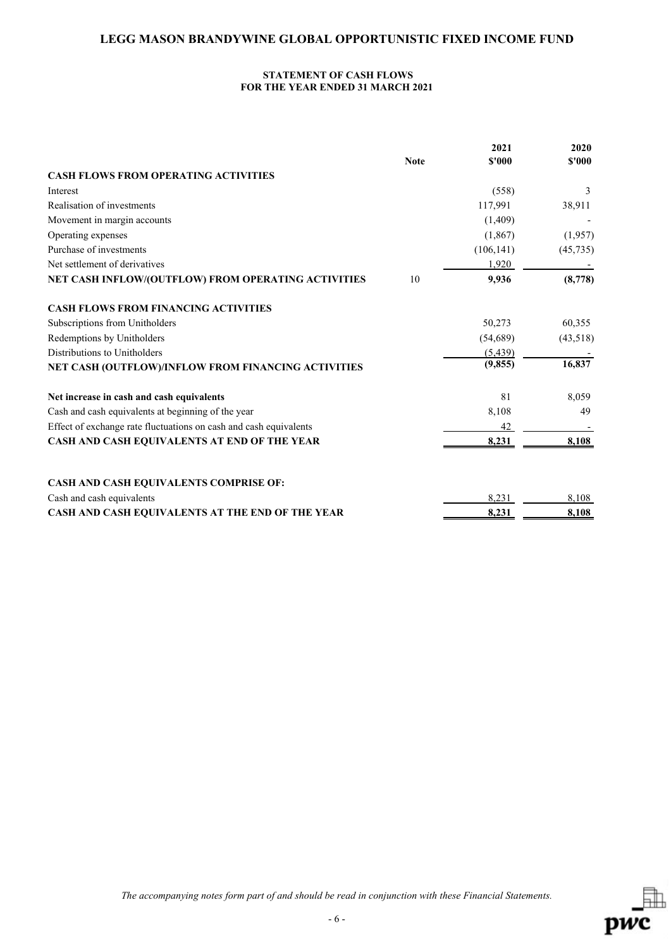### **STATEMENT OF CASH FLOWS FOR THE YEAR ENDED 31 MARCH 2021**

|                                                                   | <b>Note</b> | 2021<br>\$'000 | 2020<br>\$'000 |
|-------------------------------------------------------------------|-------------|----------------|----------------|
| <b>CASH FLOWS FROM OPERATING ACTIVITIES</b>                       |             |                |                |
| Interest                                                          |             | (558)          | $\mathcal{F}$  |
| Realisation of investments                                        |             | 117,991        | 38,911         |
| Movement in margin accounts                                       |             | (1, 409)       |                |
| Operating expenses                                                |             | (1,867)        | (1,957)        |
| Purchase of investments                                           |             | (106, 141)     | (45, 735)      |
| Net settlement of derivatives                                     |             | 1,920          |                |
| NET CASH INFLOW/(OUTFLOW) FROM OPERATING ACTIVITIES               | 10          | 9,936          | (8,778)        |
| <b>CASH FLOWS FROM FINANCING ACTIVITIES</b>                       |             |                |                |
| Subscriptions from Unitholders                                    |             | 50,273         | 60,355         |
| Redemptions by Unitholders                                        |             | (54,689)       | (43,518)       |
| Distributions to Unitholders                                      |             | (5, 439)       |                |
| NET CASH (OUTFLOW)/INFLOW FROM FINANCING ACTIVITIES               |             | (9, 855)       | 16,837         |
| Net increase in cash and cash equivalents                         |             | 81             | 8,059          |
| Cash and cash equivalents at beginning of the year                |             | 8,108          | 49             |
| Effect of exchange rate fluctuations on cash and cash equivalents |             | 42             |                |
| CASH AND CASH EQUIVALENTS AT END OF THE YEAR                      |             | 8,231          | 8,108          |
| CASH AND CASH EQUIVALENTS COMPRISE OF:                            |             |                |                |
| Cash and cash equivalents                                         |             | 8.231          | 8,108          |
| CASH AND CASH EQUIVALENTS AT THE END OF THE YEAR                  |             | 8,231          | 8,108          |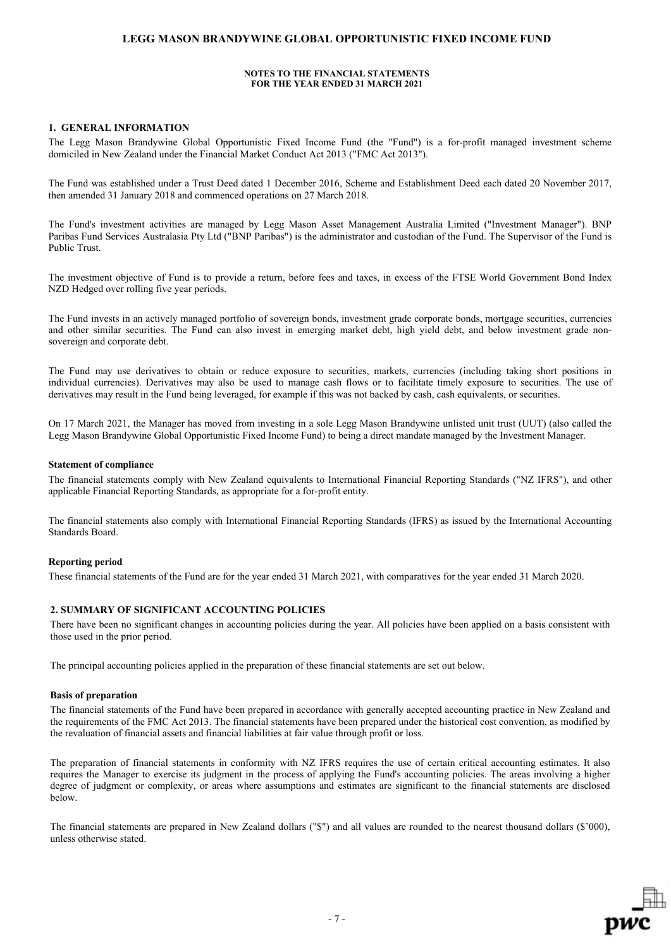### **NOTES TO THE FINANCIAL STATEMENTS FOR THE YEAR ENDED 31 MARCH 2021**

### **1. GENERAL INFORMATION**

The Legg Mason Brandywine Global Opportunistic Fixed Income Fund (the "Fund") is a for-profit managed investment scheme domiciled in New Zealand under the Financial Market Conduct Act 2013 ("FMC Act 2013").

The Fund was established under a Trust Deed dated 1 December 2016, Scheme and Establishment Deed each dated 20 November 2017, then amended 31 January 2018 and commenced operations on 27 March 2018.

The Fund's investment activities are managed by Legg Mason Asset Management Australia Limited ("Investment Manager"). BNP Paribas Fund Services Australasia Pty Ltd ("BNP Paribas") is the administrator and custodian of the Fund. The Supervisor of the Fund is Public Trust.

The investment objective of Fund is to provide a return, before fees and taxes, in excess of the FTSE World Government Bond Index NZD Hedged over rolling five year periods.

The Fund invests in an actively managed portfolio of sovereign bonds, investment grade corporate bonds, mortgage securities, currencies and other similar securities. The Fund can also invest in emerging market debt, high yield debt, and below investment grade nonsovereign and corporate debt.

The Fund may use derivatives to obtain or reduce exposure to securities, markets, currencies (including taking short positions in individual currencies). Derivatives may also be used to manage cash flows or to facilitate timely exposure to securities. The use of derivatives may result in the Fund being leveraged, for example if this was not backed by cash, cash equivalents, or securities.

On 17 March 2021, the Manager has moved from investing in a sole Legg Mason Brandywine unlisted unit trust (UUT) (also called the Legg Mason Brandywine Global Opportunistic Fixed Income Fund) to being a direct mandate managed by the Investment Manager.

#### **Statement of compliance**

The financial statements comply with New Zealand equivalents to International Financial Reporting Standards ("NZ IFRS"), and other applicable Financial Reporting Standards, as appropriate for a for-profit entity.

The financial statements also comply with International Financial Reporting Standards (IFRS) as issued by the International Accounting Standards Board.

### **Reporting period**

These financial statements of the Fund are for the year ended 31 March 2021, with comparatives for the year ended 31 March 2020.

### **2. SUMMARY OF SIGNIFICANT ACCOUNTING POLICIES**

There have been no significant changes in accounting policies during the year. All policies have been applied on a basis consistent with those used in the prior period.

The principal accounting policies applied in the preparation of these financial statements are set out below.

### **Basis of preparation**

The financial statements of the Fund have been prepared in accordance with generally accepted accounting practice in New Zealand and the requirements of the FMC Act 2013. The financial statements have been prepared under the historical cost convention, as modified by the revaluation of financial assets and financial liabilities at fair value through profit or loss.

The preparation of financial statements in conformity with NZ IFRS requires the use of certain critical accounting estimates. It also requires the Manager to exercise its judgment in the process of applying the Fund's accounting policies. The areas involving a higher degree of judgment or complexity, or areas where assumptions and estimates are significant to the financial statements are disclosed below.

The financial statements are prepared in New Zealand dollars ("\$") and all values are rounded to the nearest thousand dollars (\$'000), unless otherwise stated.

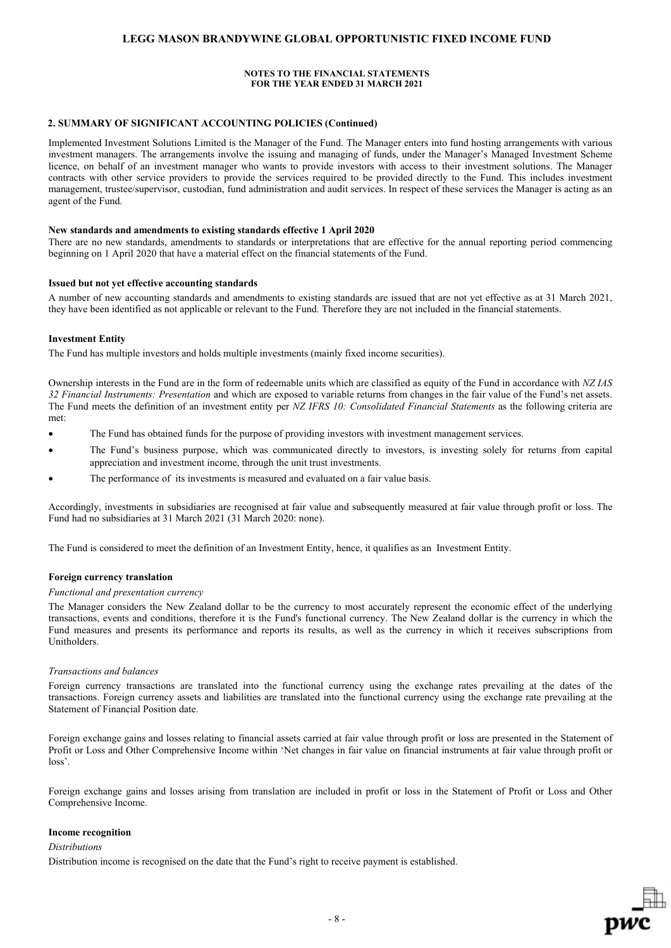### **NOTES TO THE FINANCIAL STATEMENTS FOR THE YEAR ENDED 31 MARCH 2021**

### **2. SUMMARY OF SIGNIFICANT ACCOUNTING POLICIES (Continued)**

Implemented Investment Solutions Limited is the Manager of the Fund. The Manager enters into fund hosting arrangements with various investment managers. The arrangements involve the issuing and managing of funds, under the Manager's Managed Investment Scheme licence, on behalf of an investment manager who wants to provide investors with access to their investment solutions. The Manager contracts with other service providers to provide the services required to be provided directly to the Fund. This includes investment management, trustee/supervisor, custodian, fund administration and audit services. In respect of these services the Manager is acting as an agent of the Fund.

#### **New standards and amendments to existing standards effective 1 April 2020**

There are no new standards, amendments to standards or interpretations that are effective for the annual reporting period commencing beginning on 1 April 2020 that have a material effect on the financial statements of the Fund.

#### **Issued but not yet effective accounting standards**

A number of new accounting standards and amendments to existing standards are issued that are not yet effective as at 31 March 2021, they have been identified as not applicable or relevant to the Fund. Therefore they are not included in the financial statements.

#### **Investment Entity**

The Fund has multiple investors and holds multiple investments (mainly fixed income securities).

Ownership interests in the Fund are in the form of redeemable units which are classified as equity of the Fund in accordance with *NZ IAS 32 Financial Instruments: Presentation* and which are exposed to variable returns from changes in the fair value of the Fund's net assets. The Fund meets the definition of an investment entity per *NZ IFRS 10: Consolidated Financial Statements* as the following criteria are met:

- The Fund has obtained funds for the purpose of providing investors with investment management services.
- The Fund's business purpose, which was communicated directly to investors, is investing solely for returns from capital appreciation and investment income, through the unit trust investments.
- The performance of its investments is measured and evaluated on a fair value basis.

Accordingly, investments in subsidiaries are recognised at fair value and subsequently measured at fair value through profit or loss. The Fund had no subsidiaries at 31 March 2021 (31 March 2020: none).

The Fund is considered to meet the definition of an Investment Entity, hence, it qualifies as an Investment Entity.

#### **Foreign currency translation**

#### *Functional and presentation currency*

The Manager considers the New Zealand dollar to be the currency to most accurately represent the economic effect of the underlying transactions, events and conditions, therefore it is the Fund's functional currency. The New Zealand dollar is the currency in which the Fund measures and presents its performance and reports its results, as well as the currency in which it receives subscriptions from Unitholders.

#### *Transactions and balances*

Foreign currency transactions are translated into the functional currency using the exchange rates prevailing at the dates of the transactions. Foreign currency assets and liabilities are translated into the functional currency using the exchange rate prevailing at the Statement of Financial Position date.

Foreign exchange gains and losses relating to financial assets carried at fair value through profit or loss are presented in the Statement of Profit or Loss and Other Comprehensive Income within 'Net changes in fair value on financial instruments at fair value through profit or loss'.

Foreign exchange gains and losses arising from translation are included in profit or loss in the Statement of Profit or Loss and Other Comprehensive Income.

#### **Income recognition**

#### *Distributions*

Distribution income is recognised on the date that the Fund's right to receive payment is established.

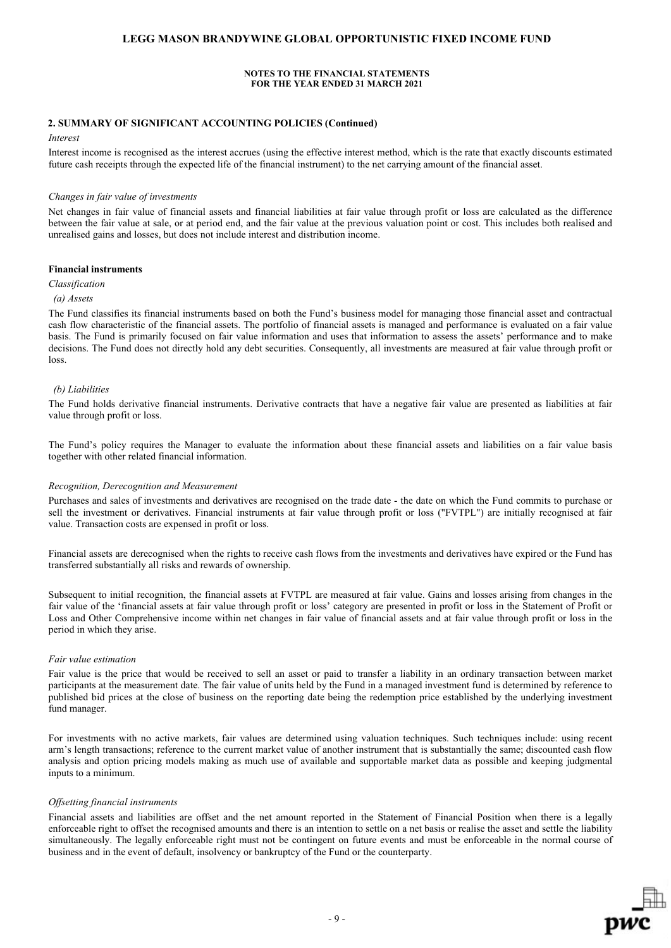### **2. SUMMARY OF SIGNIFICANT ACCOUNTING POLICIES (Continued)**

#### *Interest*

Interest income is recognised as the interest accrues (using the effective interest method, which is the rate that exactly discounts estimated future cash receipts through the expected life of the financial instrument) to the net carrying amount of the financial asset.

#### *Changes in fair value of investments*

Net changes in fair value of financial assets and financial liabilities at fair value through profit or loss are calculated as the difference between the fair value at sale, or at period end, and the fair value at the previous valuation point or cost. This includes both realised and unrealised gains and losses, but does not include interest and distribution income.

#### **Financial instruments**

*Classification*

#### *(a) Assets*

The Fund classifies its financial instruments based on both the Fund's business model for managing those financial asset and contractual cash flow characteristic of the financial assets. The portfolio of financial assets is managed and performance is evaluated on a fair value basis. The Fund is primarily focused on fair value information and uses that information to assess the assets' performance and to make decisions. The Fund does not directly hold any debt securities. Consequently, all investments are measured at fair value through profit or loss.

#### *(b) Liabilities*

The Fund holds derivative financial instruments. Derivative contracts that have a negative fair value are presented as liabilities at fair value through profit or loss.

The Fund's policy requires the Manager to evaluate the information about these financial assets and liabilities on a fair value basis together with other related financial information.

#### *Recognition, Derecognition and Measurement*

Purchases and sales of investments and derivatives are recognised on the trade date - the date on which the Fund commits to purchase or sell the investment or derivatives. Financial instruments at fair value through profit or loss ("FVTPL") are initially recognised at fair value. Transaction costs are expensed in profit or loss.

Financial assets are derecognised when the rights to receive cash flows from the investments and derivatives have expired or the Fund has transferred substantially all risks and rewards of ownership.

Subsequent to initial recognition, the financial assets at FVTPL are measured at fair value. Gains and losses arising from changes in the fair value of the 'financial assets at fair value through profit or loss' category are presented in profit or loss in the Statement of Profit or Loss and Other Comprehensive income within net changes in fair value of financial assets and at fair value through profit or loss in the period in which they arise.

#### *Fair value estimation*

Fair value is the price that would be received to sell an asset or paid to transfer a liability in an ordinary transaction between market participants at the measurement date. The fair value of units held by the Fund in a managed investment fund is determined by reference to published bid prices at the close of business on the reporting date being the redemption price established by the underlying investment fund manager.

For investments with no active markets, fair values are determined using valuation techniques. Such techniques include: using recent arm's length transactions; reference to the current market value of another instrument that is substantially the same; discounted cash flow analysis and option pricing models making as much use of available and supportable market data as possible and keeping judgmental inputs to a minimum.

#### *Offsetting financial instruments*

Financial assets and liabilities are offset and the net amount reported in the Statement of Financial Position when there is a legally enforceable right to offset the recognised amounts and there is an intention to settle on a net basis or realise the asset and settle the liability simultaneously. The legally enforceable right must not be contingent on future events and must be enforceable in the normal course of business and in the event of default, insolvency or bankruptcy of the Fund or the counterparty.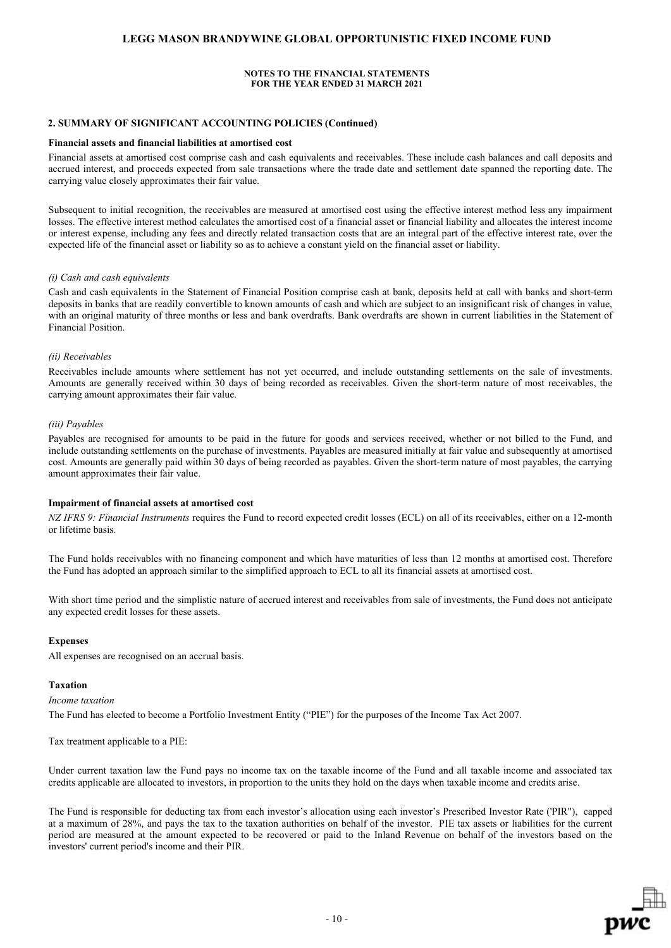### **NOTES TO THE FINANCIAL STATEMENTS FOR THE YEAR ENDED 31 MARCH 2021**

### **2. SUMMARY OF SIGNIFICANT ACCOUNTING POLICIES (Continued)**

#### **Financial assets and financial liabilities at amortised cost**

Financial assets at amortised cost comprise cash and cash equivalents and receivables. These include cash balances and call deposits and accrued interest, and proceeds expected from sale transactions where the trade date and settlement date spanned the reporting date. The carrying value closely approximates their fair value.

Subsequent to initial recognition, the receivables are measured at amortised cost using the effective interest method less any impairment losses. The effective interest method calculates the amortised cost of a financial asset or financial liability and allocates the interest income or interest expense, including any fees and directly related transaction costs that are an integral part of the effective interest rate, over the expected life of the financial asset or liability so as to achieve a constant yield on the financial asset or liability.

#### *(i) Cash and cash equivalents*

Cash and cash equivalents in the Statement of Financial Position comprise cash at bank, deposits held at call with banks and short-term deposits in banks that are readily convertible to known amounts of cash and which are subject to an insignificant risk of changes in value, with an original maturity of three months or less and bank overdrafts. Bank overdrafts are shown in current liabilities in the Statement of Financial Position.

### *(ii) Receivables*

Receivables include amounts where settlement has not yet occurred, and include outstanding settlements on the sale of investments. Amounts are generally received within 30 days of being recorded as receivables. Given the short-term nature of most receivables, the carrying amount approximates their fair value.

### *(iii) Payables*

Payables are recognised for amounts to be paid in the future for goods and services received, whether or not billed to the Fund, and include outstanding settlements on the purchase of investments. Payables are measured initially at fair value and subsequently at amortised cost. Amounts are generally paid within 30 days of being recorded as payables. Given the short-term nature of most payables, the carrying amount approximates their fair value.

### **Impairment of financial assets at amortised cost**

*NZ IFRS 9: Financial Instruments* requires the Fund to record expected credit losses (ECL) on all of its receivables, either on a 12-month or lifetime basis.

The Fund holds receivables with no financing component and which have maturities of less than 12 months at amortised cost. Therefore the Fund has adopted an approach similar to the simplified approach to ECL to all its financial assets at amortised cost.

With short time period and the simplistic nature of accrued interest and receivables from sale of investments, the Fund does not anticipate any expected credit losses for these assets.

#### **Expenses**

All expenses are recognised on an accrual basis.

### **Taxation**

*Income taxation*

The Fund has elected to become a Portfolio Investment Entity ("PIE") for the purposes of the Income Tax Act 2007.

Tax treatment applicable to a PIE:

Under current taxation law the Fund pays no income tax on the taxable income of the Fund and all taxable income and associated tax credits applicable are allocated to investors, in proportion to the units they hold on the days when taxable income and credits arise.

The Fund is responsible for deducting tax from each investor's allocation using each investor's Prescribed Investor Rate ('PIR"), capped at a maximum of 28%, and pays the tax to the taxation authorities on behalf of the investor. PIE tax assets or liabilities for the current period are measured at the amount expected to be recovered or paid to the Inland Revenue on behalf of the investors based on the investors' current period's income and their PIR.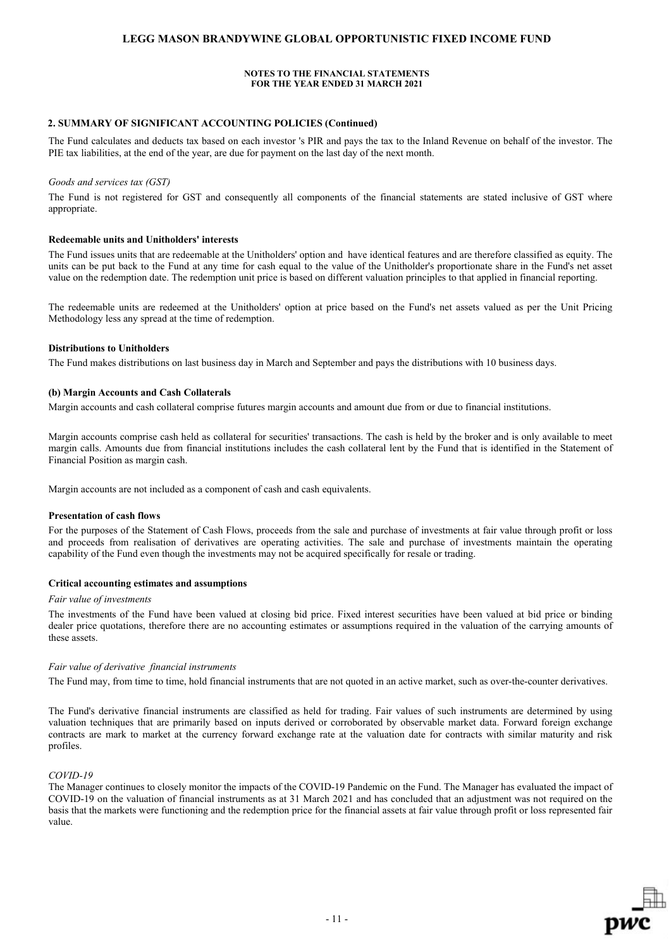### **NOTES TO THE FINANCIAL STATEMENTS FOR THE YEAR ENDED 31 MARCH 2021**

### **2. SUMMARY OF SIGNIFICANT ACCOUNTING POLICIES (Continued)**

The Fund calculates and deducts tax based on each investor 's PIR and pays the tax to the Inland Revenue on behalf of the investor. The PIE tax liabilities, at the end of the year, are due for payment on the last day of the next month.

#### *Goods and services tax (GST)*

The Fund is not registered for GST and consequently all components of the financial statements are stated inclusive of GST where appropriate.

### **Redeemable units and Unitholders' interests**

The Fund issues units that are redeemable at the Unitholders' option and have identical features and are therefore classified as equity. The units can be put back to the Fund at any time for cash equal to the value of the Unitholder's proportionate share in the Fund's net asset value on the redemption date. The redemption unit price is based on different valuation principles to that applied in financial reporting.

The redeemable units are redeemed at the Unitholders' option at price based on the Fund's net assets valued as per the Unit Pricing Methodology less any spread at the time of redemption.

#### **Distributions to Unitholders**

The Fund makes distributions on last business day in March and September and pays the distributions with 10 business days.

#### **(b) Margin Accounts and Cash Collaterals**

Margin accounts and cash collateral comprise futures margin accounts and amount due from or due to financial institutions.

Margin accounts comprise cash held as collateral for securities' transactions. The cash is held by the broker and is only available to meet margin calls. Amounts due from financial institutions includes the cash collateral lent by the Fund that is identified in the Statement of Financial Position as margin cash.

Margin accounts are not included as a component of cash and cash equivalents.

#### **Presentation of cash flows**

For the purposes of the Statement of Cash Flows, proceeds from the sale and purchase of investments at fair value through profit or loss and proceeds from realisation of derivatives are operating activities. The sale and purchase of investments maintain the operating capability of the Fund even though the investments may not be acquired specifically for resale or trading.

#### **Critical accounting estimates and assumptions**

#### *Fair value of investments*

The investments of the Fund have been valued at closing bid price. Fixed interest securities have been valued at bid price or binding dealer price quotations, therefore there are no accounting estimates or assumptions required in the valuation of the carrying amounts of these assets.

#### *Fair value of derivative financial instruments*

The Fund may, from time to time, hold financial instruments that are not quoted in an active market, such as over-the-counter derivatives.

The Fund's derivative financial instruments are classified as held for trading. Fair values of such instruments are determined by using valuation techniques that are primarily based on inputs derived or corroborated by observable market data. Forward foreign exchange contracts are mark to market at the currency forward exchange rate at the valuation date for contracts with similar maturity and risk profiles.

#### *COVID-19*

The Manager continues to closely monitor the impacts of the COVID-19 Pandemic on the Fund. The Manager has evaluated the impact of COVID-19 on the valuation of financial instruments as at 31 March 2021 and has concluded that an adjustment was not required on the basis that the markets were functioning and the redemption price for the financial assets at fair value through profit or loss represented fair value.

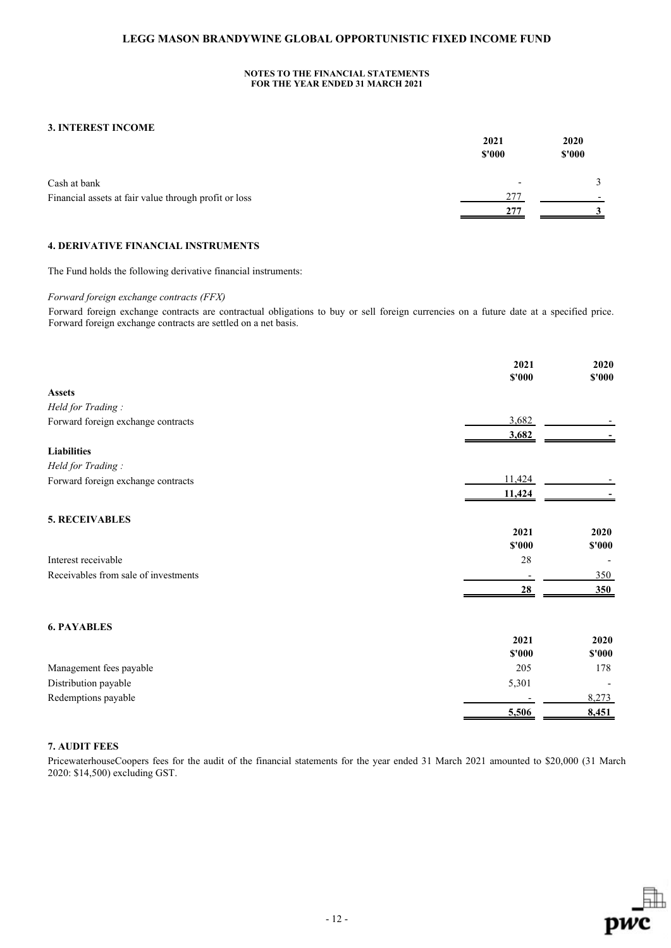### **3. INTEREST INCOME**

|                                                       | 2021<br>\$'000           | 2020<br>\$'000 |
|-------------------------------------------------------|--------------------------|----------------|
| Cash at bank                                          | $\overline{\phantom{0}}$ | $\mathbf{r}$   |
| Financial assets at fair value through profit or loss | 277                      |                |
|                                                       | 277                      |                |

# **4. DERIVATIVE FINANCIAL INSTRUMENTS**

The Fund holds the following derivative financial instruments:

### *Forward foreign exchange contracts (FFX)*

Forward foreign exchange contracts are contractual obligations to buy or sell foreign currencies on a future date at a specified price. Forward foreign exchange contracts are settled on a net basis.

|                                      | 2021<br>\$'000 | 2020<br>\$'000           |
|--------------------------------------|----------------|--------------------------|
| <b>Assets</b>                        |                |                          |
| Held for Trading:                    |                |                          |
| Forward foreign exchange contracts   | 3,682          |                          |
|                                      | 3,682          |                          |
|                                      |                |                          |
| <b>Liabilities</b>                   |                |                          |
| Held for Trading:                    |                |                          |
| Forward foreign exchange contracts   | 11,424         |                          |
|                                      | 11,424         |                          |
| <b>5. RECEIVABLES</b>                |                |                          |
|                                      | 2021           | 2020                     |
|                                      | \$'000         | \$'000                   |
| Interest receivable                  | 28             | $\overline{\phantom{a}}$ |
| Receivables from sale of investments |                | 350                      |
|                                      | 28             | 350                      |
|                                      |                |                          |
| <b>6. PAYABLES</b>                   |                |                          |
|                                      | 2021           | 2020                     |
|                                      | \$'000         | \$'000                   |
| Management fees payable              | 205            | 178                      |
| Distribution payable                 | 5,301          |                          |
| Redemptions payable                  |                | 8,273                    |
|                                      | 5,506          | 8,451                    |

# **7. AUDIT FEES**

PricewaterhouseCoopers fees for the audit of the financial statements for the year ended 31 March 2021 amounted to \$20,000 (31 March 2020: \$14,500) excluding GST.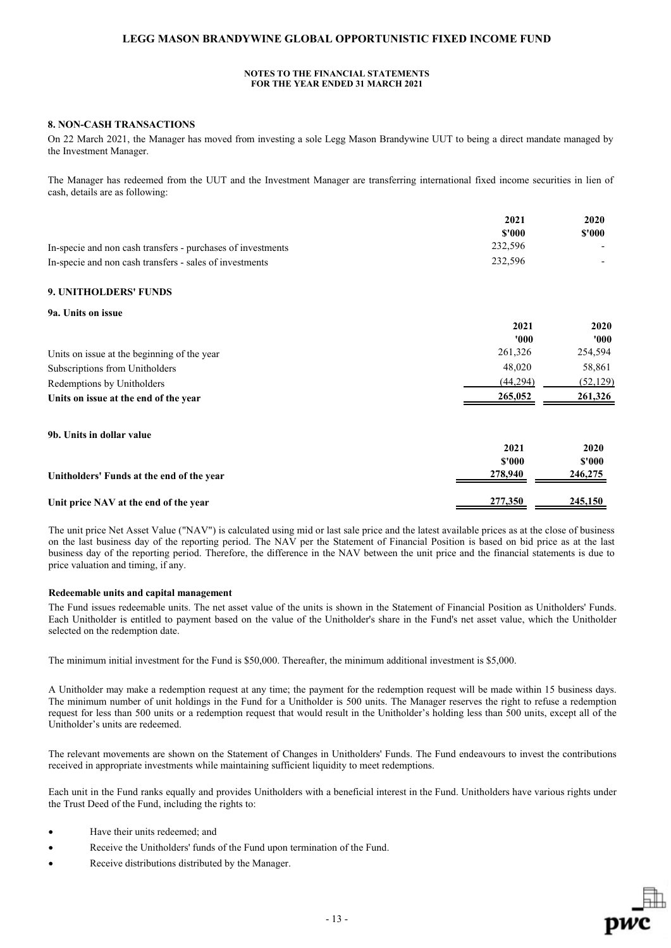### **NOTES TO THE FINANCIAL STATEMENTS FOR THE YEAR ENDED 31 MARCH 2021**

### **8. NON-CASH TRANSACTIONS**

On 22 March 2021, the Manager has moved from investing a sole Legg Mason Brandywine UUT to being a direct mandate managed by the Investment Manager.

The Manager has redeemed from the UUT and the Investment Manager are transferring international fixed income securities in lien of cash, details are as following:

|                                                             | 2021    | 2020   |
|-------------------------------------------------------------|---------|--------|
|                                                             | \$'000  | \$'000 |
| In-specie and non cash transfers - purchases of investments | 232,596 |        |
| In-specie and non cash transfers - sales of investments     | 232,596 |        |

### **9. UNITHOLDERS' FUNDS**

### **9a. Units on issue**

|                                             | 2021     | 2020      |
|---------------------------------------------|----------|-----------|
|                                             | '000     | '000      |
| Units on issue at the beginning of the year | 261,326  | 254,594   |
| Subscriptions from Unitholders              | 48,020   | 58.861    |
| Redemptions by Unitholders                  | (44.294) | (52, 129) |
| Units on issue at the end of the year       | 265,052  | 261,326   |

#### **9b. Units in dollar value**

|                                           | 2021<br>\$'000 | 2020<br>\$'000 |
|-------------------------------------------|----------------|----------------|
| Unitholders' Funds at the end of the year | 278,940        | 246,275        |
| Unit price NAV at the end of the year     | 277,350        | 245,150        |

The unit price Net Asset Value ("NAV") is calculated using mid or last sale price and the latest available prices as at the close of business on the last business day of the reporting period. The NAV per the Statement of Financial Position is based on bid price as at the last business day of the reporting period. Therefore, the difference in the NAV between the unit price and the financial statements is due to price valuation and timing, if any.

#### **Redeemable units and capital management**

The Fund issues redeemable units. The net asset value of the units is shown in the Statement of Financial Position as Unitholders' Funds. Each Unitholder is entitled to payment based on the value of the Unitholder's share in the Fund's net asset value, which the Unitholder selected on the redemption date.

The minimum initial investment for the Fund is \$50,000. Thereafter, the minimum additional investment is \$5,000.

A Unitholder may make a redemption request at any time; the payment for the redemption request will be made within 15 business days. The minimum number of unit holdings in the Fund for a Unitholder is 500 units. The Manager reserves the right to refuse a redemption request for less than 500 units or a redemption request that would result in the Unitholder's holding less than 500 units, except all of the Unitholder's units are redeemed.

The relevant movements are shown on the Statement of Changes in Unitholders' Funds. The Fund endeavours to invest the contributions received in appropriate investments while maintaining sufficient liquidity to meet redemptions.

Each unit in the Fund ranks equally and provides Unitholders with a beneficial interest in the Fund. Unitholders have various rights under the Trust Deed of the Fund, including the rights to:

- Have their units redeemed; and
- Receive the Unitholders' funds of the Fund upon termination of the Fund.
- Receive distributions distributed by the Manager.

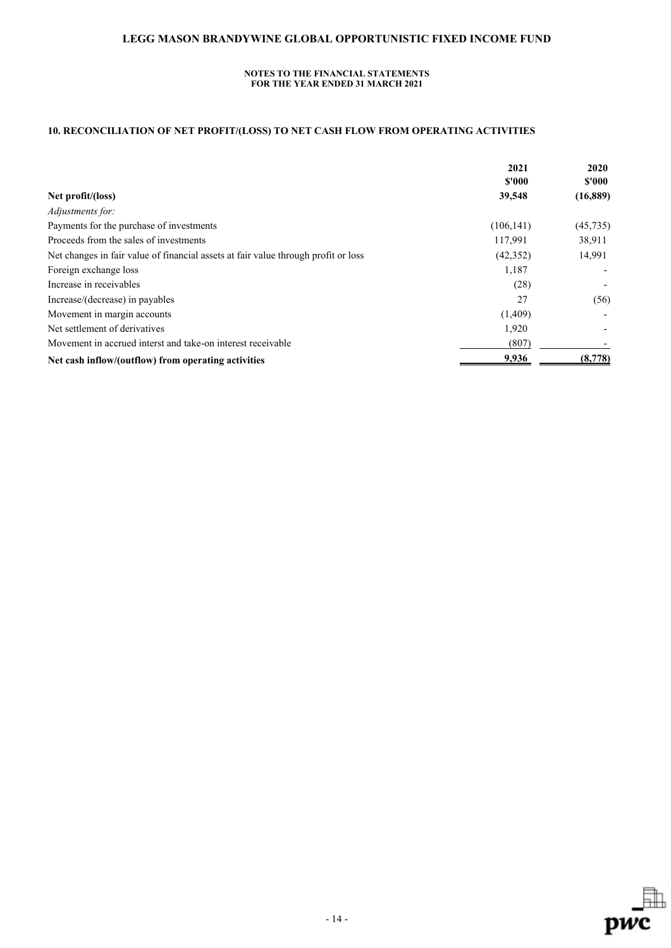### **NOTES TO THE FINANCIAL STATEMENTS FOR THE YEAR ENDED 31 MARCH 2021**

# **10. RECONCILIATION OF NET PROFIT/(LOSS) TO NET CASH FLOW FROM OPERATING ACTIVITIES**

|                                                                                    | 2021       | 2020     |
|------------------------------------------------------------------------------------|------------|----------|
|                                                                                    | \$'000     | \$'000   |
| Net profit/(loss)                                                                  | 39,548     | (16,889) |
| Adjustments for:                                                                   |            |          |
| Payments for the purchase of investments                                           | (106, 141) | (45,735) |
| Proceeds from the sales of investments                                             | 117,991    | 38,911   |
| Net changes in fair value of financial assets at fair value through profit or loss | (42, 352)  | 14,991   |
| Foreign exchange loss                                                              | 1,187      |          |
| Increase in receivables                                                            | (28)       |          |
| Increase/(decrease) in payables                                                    | 27         | (56)     |
| Movement in margin accounts                                                        | (1,409)    |          |
| Net settlement of derivatives                                                      | 1,920      |          |
| Movement in accrued interst and take-on interest receivable                        | (807)      |          |
| Net cash inflow/(outflow) from operating activities                                | 9,936      | (8,778)  |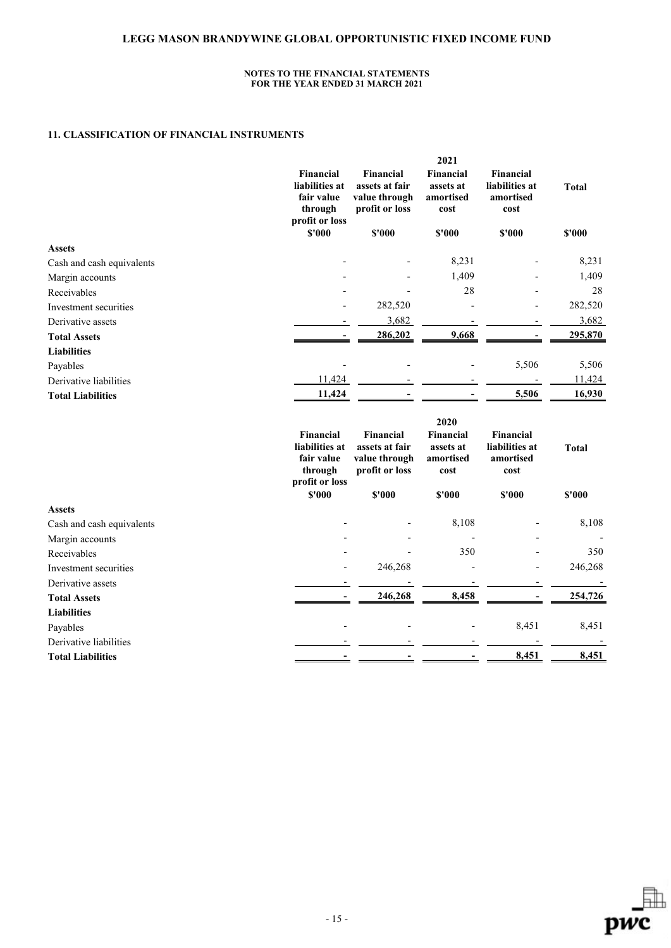#### **NOTES TO THE FINANCIAL STATEMENTS FOR THE YEAR ENDED 31 MARCH 2021**

# **11. CLASSIFICATION OF FINANCIAL INSTRUMENTS**

|                           | 2021                                                                   |                                                                       |                                                            |                                                         |              |
|---------------------------|------------------------------------------------------------------------|-----------------------------------------------------------------------|------------------------------------------------------------|---------------------------------------------------------|--------------|
|                           | Financial<br>liabilities at<br>fair value<br>through<br>profit or loss | Financial<br>assets at fair<br>value through<br>profit or loss        | <b>Financial</b><br>assets at<br>amortised<br>cost         | <b>Financial</b><br>liabilities at<br>amortised<br>cost | <b>Total</b> |
|                           | $$'000$                                                                | \$'000                                                                | \$'000                                                     | \$'000                                                  | \$'000       |
| <b>Assets</b>             |                                                                        |                                                                       |                                                            |                                                         |              |
| Cash and cash equivalents |                                                                        |                                                                       | 8,231                                                      |                                                         | 8,231        |
| Margin accounts           |                                                                        |                                                                       | 1,409                                                      | $\overline{a}$                                          | 1,409        |
| Receivables               |                                                                        |                                                                       | 28                                                         |                                                         | 28           |
| Investment securities     |                                                                        | 282,520                                                               |                                                            | $\overline{\phantom{0}}$                                | 282,520      |
| Derivative assets         |                                                                        | 3,682                                                                 |                                                            |                                                         | 3,682        |
| <b>Total Assets</b>       |                                                                        | 286,202                                                               | 9,668                                                      |                                                         | 295,870      |
| <b>Liabilities</b>        |                                                                        |                                                                       |                                                            |                                                         |              |
| Payables                  |                                                                        |                                                                       |                                                            | 5,506                                                   | 5,506        |
| Derivative liabilities    | 11,424                                                                 |                                                                       |                                                            |                                                         | 11,424       |
| <b>Total Liabilities</b>  | 11,424                                                                 |                                                                       |                                                            | 5,506                                                   | 16,930       |
|                           | Financial<br>liabilities at<br>fair value<br>through<br>profit or loss | <b>Financial</b><br>assets at fair<br>value through<br>profit or loss | 2020<br><b>Financial</b><br>assets at<br>amortised<br>cost | <b>Financial</b><br>liabilities at<br>amortised<br>cost | <b>Total</b> |
|                           | \$'000                                                                 | \$'000                                                                | \$'000                                                     | \$'000                                                  | \$'000       |
| <b>Assets</b>             |                                                                        |                                                                       | 0.100                                                      |                                                         | 0.100        |

| <b>Assets</b>             |                          |         |                          |                          |         |
|---------------------------|--------------------------|---------|--------------------------|--------------------------|---------|
| Cash and cash equivalents | $\overline{\phantom{a}}$ |         | 8,108                    |                          | 8,108   |
| Margin accounts           |                          |         |                          |                          |         |
| Receivables               |                          |         | 350                      | $\overline{\phantom{0}}$ | 350     |
| Investment securities     | $\overline{\phantom{a}}$ | 246,268 | $\overline{\phantom{a}}$ | $\overline{\phantom{0}}$ | 246,268 |
| Derivative assets         |                          |         |                          |                          |         |
| <b>Total Assets</b>       |                          | 246,268 | 8,458                    |                          | 254,726 |
| <b>Liabilities</b>        |                          |         |                          |                          |         |
| Payables                  | $\overline{\phantom{a}}$ |         |                          | 8,451                    | 8,451   |
| Derivative liabilities    |                          |         |                          |                          |         |
| <b>Total Liabilities</b>  |                          |         |                          | 8,451                    | 8,451   |
|                           |                          |         |                          |                          |         |

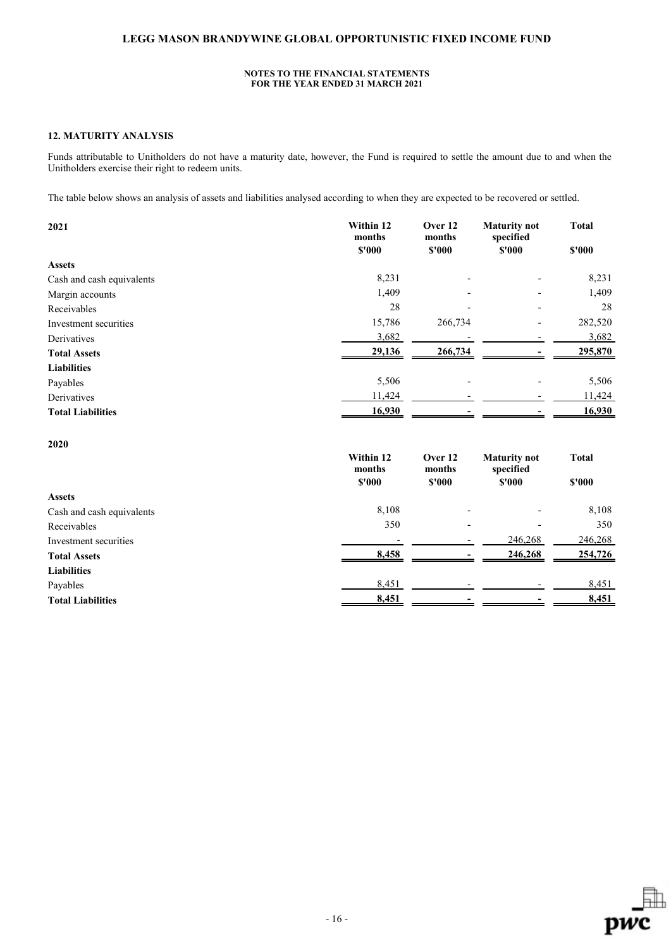### **12. MATURITY ANALYSIS**

Funds attributable to Unitholders do not have a maturity date, however, the Fund is required to settle the amount due to and when the Unitholders exercise their right to redeem units.

The table below shows an analysis of assets and liabilities analysed according to when they are expected to be recovered or settled.

| 2021                      | Within 12<br>months | Over 12<br>months        | <b>Maturity not</b><br>specified | <b>Total</b> |
|---------------------------|---------------------|--------------------------|----------------------------------|--------------|
|                           | \$'000              | \$'000                   | \$'000                           | \$'000       |
| <b>Assets</b>             |                     |                          |                                  |              |
| Cash and cash equivalents | 8,231               | -                        | $\overline{a}$                   | 8,231        |
| Margin accounts           | 1,409               | -                        | $\overline{\phantom{0}}$         | 1,409        |
| Receivables               | 28                  |                          | $\overline{\phantom{a}}$         | 28           |
| Investment securities     | 15,786              | 266,734                  | $\overline{\phantom{a}}$         | 282,520      |
| Derivatives               | 3,682               |                          |                                  | 3,682        |
| <b>Total Assets</b>       | 29,136              | 266,734                  |                                  | 295,870      |
| <b>Liabilities</b>        |                     |                          |                                  |              |
| Payables                  | 5,506               | $\overline{\phantom{0}}$ | $\overline{a}$                   | 5,506        |
| Derivatives               | 11,424              |                          |                                  | 11,424       |
| <b>Total Liabilities</b>  | 16,930              |                          |                                  | 16,930       |

### **2020**

|                           | Within 12<br>months | Over 12<br>months        | <b>Maturity not</b><br>specified | <b>Total</b> |
|---------------------------|---------------------|--------------------------|----------------------------------|--------------|
|                           | \$'000              | \$'000                   | \$'000                           | \$'000       |
| <b>Assets</b>             |                     |                          |                                  |              |
| Cash and cash equivalents | 8,108               | $\qquad \qquad$          |                                  | 8,108        |
| Receivables               | 350                 | $\overline{\phantom{a}}$ |                                  | 350          |
| Investment securities     |                     |                          | 246,268                          | 246,268      |
| <b>Total Assets</b>       | 8,458               |                          | 246,268                          | 254,726      |
| <b>Liabilities</b>        |                     |                          |                                  |              |
| Payables                  | 8,451               |                          |                                  | 8,451        |
| <b>Total Liabilities</b>  | 8,451               |                          |                                  | 8,451        |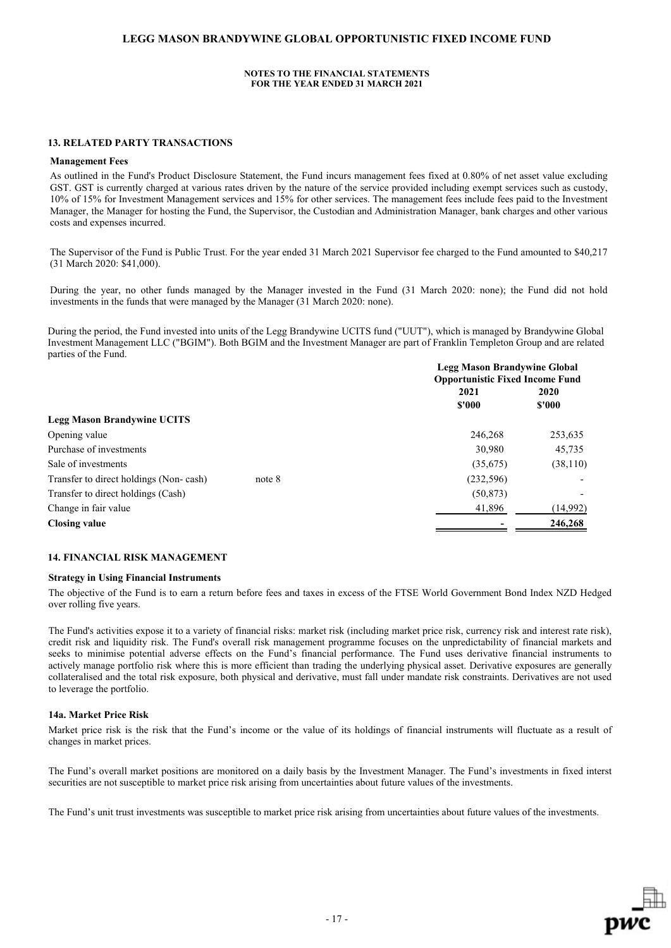### **13. RELATED PARTY TRANSACTIONS**

#### **Management Fees**

As outlined in the Fund's Product Disclosure Statement, the Fund incurs management fees fixed at 0.80% of net asset value excluding GST. GST is currently charged at various rates driven by the nature of the service provided including exempt services such as custody, 10% of 15% for Investment Management services and 15% for other services. The management fees include fees paid to the Investment Manager, the Manager for hosting the Fund, the Supervisor, the Custodian and Administration Manager, bank charges and other various costs and expenses incurred.

The Supervisor of the Fund is Public Trust. For the year ended 31 March 2021 Supervisor fee charged to the Fund amounted to \$40,217 (31 March 2020: \$41,000).

During the year, no other funds managed by the Manager invested in the Fund (31 March 2020: none); the Fund did not hold investments in the funds that were managed by the Manager (31 March 2020: none).

During the period, the Fund invested into units of the Legg Brandywine UCITS fund ("UUT"), which is managed by Brandywine Global Investment Management LLC ("BGIM"). Both BGIM and the Investment Manager are part of Franklin Templeton Group and are related parties of the Fund.

|                                                  | <b>Legg Mason Brandywine Global</b><br><b>Opportunistic Fixed Income Fund</b><br>2021<br>2020<br>$$^{\prime}000$<br>\$'000<br>246,268<br>30,980<br>(35,675) |           |  |
|--------------------------------------------------|-------------------------------------------------------------------------------------------------------------------------------------------------------------|-----------|--|
|                                                  |                                                                                                                                                             |           |  |
|                                                  |                                                                                                                                                             |           |  |
| <b>Legg Mason Brandywine UCITS</b>               |                                                                                                                                                             |           |  |
| Opening value                                    |                                                                                                                                                             | 253,635   |  |
| Purchase of investments                          |                                                                                                                                                             | 45,735    |  |
| Sale of investments                              |                                                                                                                                                             | (38, 110) |  |
| Transfer to direct holdings (Non-cash)<br>note 8 | (232, 596)                                                                                                                                                  |           |  |
| Transfer to direct holdings (Cash)               | (50, 873)                                                                                                                                                   |           |  |
| Change in fair value                             | 41,896                                                                                                                                                      | (14,992)  |  |
| <b>Closing value</b>                             |                                                                                                                                                             | 246,268   |  |
|                                                  |                                                                                                                                                             |           |  |

### **14. FINANCIAL RISK MANAGEMENT**

#### **Strategy in Using Financial Instruments**

The objective of the Fund is to earn a return before fees and taxes in excess of the FTSE World Government Bond Index NZD Hedged over rolling five years.

The Fund's activities expose it to a variety of financial risks: market risk (including market price risk, currency risk and interest rate risk), credit risk and liquidity risk. The Fund's overall risk management programme focuses on the unpredictability of financial markets and seeks to minimise potential adverse effects on the Fund's financial performance. The Fund uses derivative financial instruments to actively manage portfolio risk where this is more efficient than trading the underlying physical asset. Derivative exposures are generally collateralised and the total risk exposure, both physical and derivative, must fall under mandate risk constraints. Derivatives are not used to leverage the portfolio.

### **14a. Market Price Risk**

Market price risk is the risk that the Fund's income or the value of its holdings of financial instruments will fluctuate as a result of changes in market prices.

The Fund's overall market positions are monitored on a daily basis by the Investment Manager. The Fund's investments in fixed interst securities are not susceptible to market price risk arising from uncertainties about future values of the investments.

The Fund's unit trust investments was susceptible to market price risk arising from uncertainties about future values of the investments.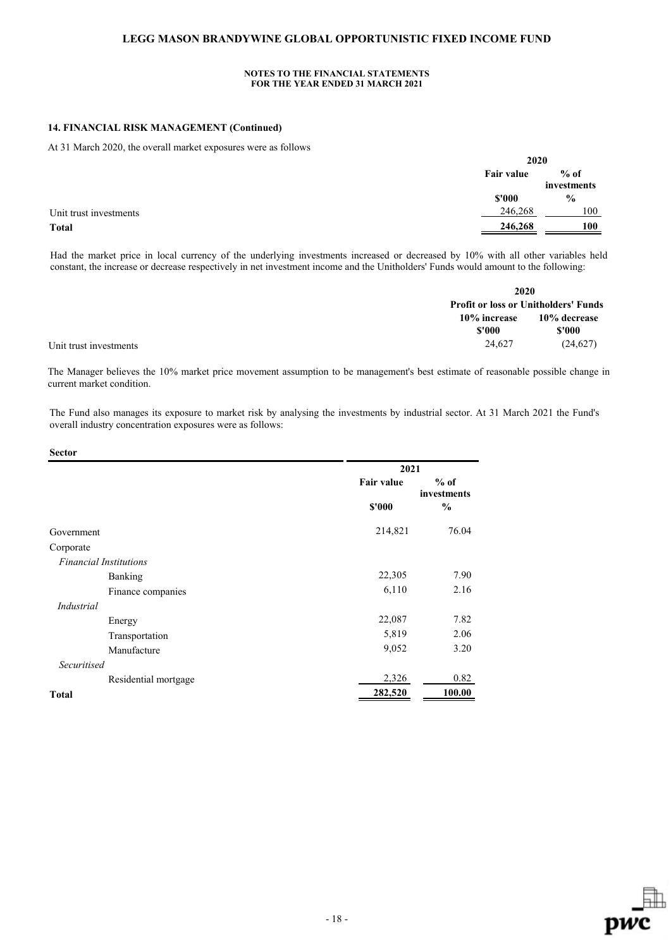### **14. FINANCIAL RISK MANAGEMENT (Continued)**

#### At 31 March 2020, the overall market exposures were as follows

| $\sim$                 | 2020       |               |
|------------------------|------------|---------------|
|                        | Fair value | $%$ of        |
|                        |            | investments   |
|                        | \$'000     | $\frac{0}{0}$ |
| Unit trust investments | 246,268    | 100           |
| <b>Total</b>           | 246,268    | 100           |

Had the market price in local currency of the underlying investments increased or decreased by 10% with all other variables held constant, the increase or decrease respectively in net investment income and the Unitholders' Funds would amount to the following:

|                        | 2020                                        |              |
|------------------------|---------------------------------------------|--------------|
|                        | <b>Profit or loss or Unitholders' Funds</b> |              |
|                        | 10% increase                                | 10% decrease |
|                        | \$'000                                      | \$'000       |
| Unit trust investments | 24,627                                      | (24,627)     |

The Manager believes the 10% market price movement assumption to be management's best estimate of reasonable possible change in current market condition.

The Fund also manages its exposure to market risk by analysing the investments by industrial sector. At 31 March 2021 the Fund's overall industry concentration exposures were as follows:

### **Sector**

|                               | 2021              |                       |
|-------------------------------|-------------------|-----------------------|
|                               | <b>Fair value</b> | $%$ of<br>investments |
|                               | \$'000            | $\frac{0}{0}$         |
| Government                    | 214,821           | 76.04                 |
| Corporate                     |                   |                       |
| <b>Financial Institutions</b> |                   |                       |
| Banking                       | 22,305            | 7.90                  |
| Finance companies             | 6,110             | 2.16                  |
| Industrial                    |                   |                       |
| Energy                        | 22,087            | 7.82                  |
| Transportation                | 5,819             | 2.06                  |
| Manufacture                   | 9,052             | 3.20                  |
| Securitised                   |                   |                       |
| Residential mortgage          | 2,326             | 0.82                  |
| <b>Total</b>                  | 282,520           | 100.00                |

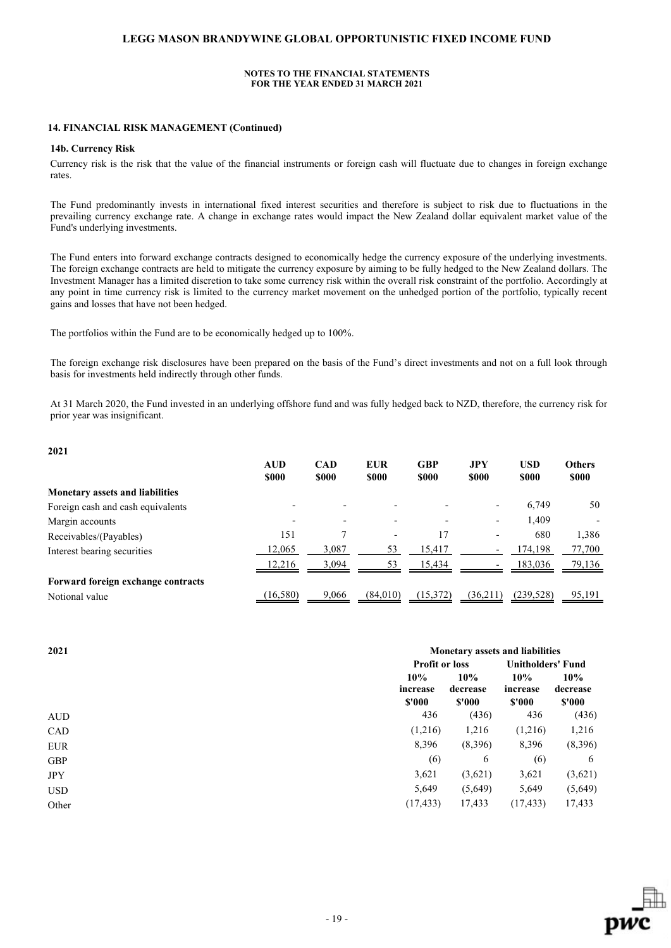### **NOTES TO THE FINANCIAL STATEMENTS FOR THE YEAR ENDED 31 MARCH 2021**

### **14. FINANCIAL RISK MANAGEMENT (Continued)**

#### **14b. Currency Risk**

**2021**

Currency risk is the risk that the value of the financial instruments or foreign cash will fluctuate due to changes in foreign exchange rates.

The Fund predominantly invests in international fixed interest securities and therefore is subject to risk due to fluctuations in the prevailing currency exchange rate. A change in exchange rates would impact the New Zealand dollar equivalent market value of the Fund's underlying investments.

The Fund enters into forward exchange contracts designed to economically hedge the currency exposure of the underlying investments. The foreign exchange contracts are held to mitigate the currency exposure by aiming to be fully hedged to the New Zealand dollars. The Investment Manager has a limited discretion to take some currency risk within the overall risk constraint of the portfolio. Accordingly at any point in time currency risk is limited to the currency market movement on the unhedged portion of the portfolio, typically recent gains and losses that have not been hedged.

The portfolios within the Fund are to be economically hedged up to 100%.

The foreign exchange risk disclosures have been prepared on the basis of the Fund's direct investments and not on a full look through basis for investments held indirectly through other funds.

At 31 March 2020, the Fund invested in an underlying offshore fund and was fully hedged back to NZD, therefore, the currency risk for prior year was insignificant.

| 2021                                   |             |             |                          |             |                          |              |               |
|----------------------------------------|-------------|-------------|--------------------------|-------------|--------------------------|--------------|---------------|
|                                        | <b>AUD</b>  | <b>CAD</b>  | <b>EUR</b>               | <b>GBP</b>  | <b>JPY</b>               | <b>USD</b>   | <b>Others</b> |
|                                        | <b>SOO0</b> | <b>SOOO</b> | <b>SOOO</b>              | <b>SOOO</b> | <b>SOOO</b>              | <b>\$000</b> | <b>\$000</b>  |
| <b>Monetary assets and liabilities</b> |             |             |                          |             |                          |              |               |
| Foreign cash and cash equivalents      |             |             |                          |             | $\overline{\phantom{a}}$ | 6.749        | 50            |
| Margin accounts                        |             |             |                          |             | $\overline{\phantom{a}}$ | 1.409        |               |
| Receivables/(Payables)                 | 151         |             | $\overline{\phantom{a}}$ | 17          | $\overline{\phantom{a}}$ | 680          | 1,386         |
| Interest bearing securities            | 12,065      | 3.087       | 53                       | 15,417      |                          | 174,198      | 77,700        |
|                                        | 12,216      | 3,094       | 53                       | 15,434      |                          | 183,036      | 79,136        |
| Forward foreign exchange contracts     |             |             |                          |             |                          |              |               |
| Notional value                         | (16, 580)   | 9,066       | (84,010)                 | (15, 372)   | (36,211)                 | (239, 528)   | 95,191        |

| 2021       | <b>Monetary assets and liabilities</b> |                           |                           |                           |
|------------|----------------------------------------|---------------------------|---------------------------|---------------------------|
|            | <b>Profit or loss</b>                  |                           | <b>Unitholders' Fund</b>  |                           |
|            | 10%<br>increase<br>\$'000              | 10%<br>decrease<br>\$'000 | 10%<br>increase<br>\$'000 | 10%<br>decrease<br>\$'000 |
| <b>AUD</b> | 436                                    | (436)                     | 436                       | (436)                     |
| <b>CAD</b> | (1,216)                                | 1,216                     | (1,216)                   | 1,216                     |
| <b>EUR</b> | 8,396                                  | (8,396)                   | 8,396                     | (8,396)                   |
| <b>GBP</b> | (6)                                    | 6                         | (6)                       | 6                         |
| <b>JPY</b> | 3,621                                  | (3,621)                   | 3,621                     | (3,621)                   |
| <b>USD</b> | 5,649                                  | (5,649)                   | 5,649                     | (5,649)                   |
| Other      | (17, 433)                              | 17,433                    | (17, 433)                 | 17,433                    |

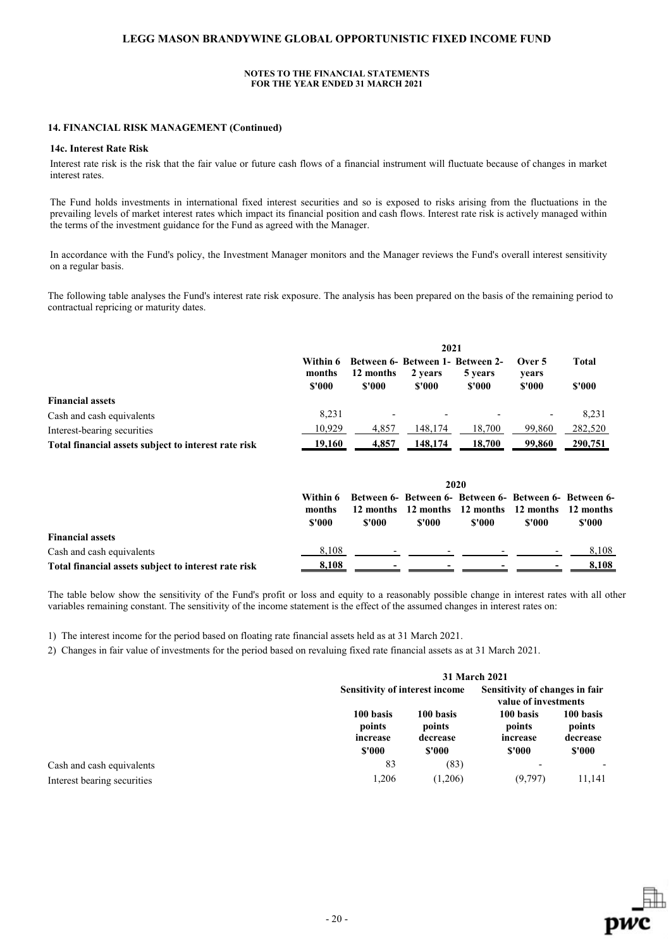### **14. FINANCIAL RISK MANAGEMENT (Continued)**

#### **14c. Interest Rate Risk**

Interest rate risk is the risk that the fair value or future cash flows of a financial instrument will fluctuate because of changes in market interest rates.

The Fund holds investments in international fixed interest securities and so is exposed to risks arising from the fluctuations in the prevailing levels of market interest rates which impact its financial position and cash flows. Interest rate risk is actively managed within the terms of the investment guidance for the Fund as agreed with the Manager.

In accordance with the Fund's policy, the Investment Manager monitors and the Manager reviews the Fund's overall interest sensitivity on a regular basis.

The following table analyses the Fund's interest rate risk exposure. The analysis has been prepared on the basis of the remaining period to contractual repricing or maturity dates.

|                                                      | 2021                         |                     |                   |                                                       |                           |                        |
|------------------------------------------------------|------------------------------|---------------------|-------------------|-------------------------------------------------------|---------------------------|------------------------|
|                                                      | Within 6<br>months<br>\$'000 | 12 months<br>\$'000 | 2 years<br>\$'000 | Between 6- Between 1- Between 2-<br>5 years<br>\$'000 | Over 5<br>vears<br>\$'000 | <b>Total</b><br>\$'000 |
| <b>Financial assets</b>                              |                              |                     |                   |                                                       |                           |                        |
| Cash and cash equivalents                            | 8.231                        |                     |                   |                                                       |                           | 8.231                  |
| Interest-bearing securities                          | 10,929                       | 4,857               | 148,174           | 18,700                                                | 99,860                    | 282,520                |
| Total financial assets subject to interest rate risk | 19,160                       | 4,857               | 148,174           | 18,700                                                | 99,860                    | 290,751                |

|                                                      | 2020             |        |                                                             |        |        |                                                                           |  |
|------------------------------------------------------|------------------|--------|-------------------------------------------------------------|--------|--------|---------------------------------------------------------------------------|--|
|                                                      | months<br>\$'000 | \$'000 | 12 months 12 months 12 months 12 months 12 months<br>\$'000 | \$'000 | \$'000 | Within 6 Between 6- Between 6- Between 6- Between 6- Between 6-<br>\$'000 |  |
| <b>Financial assets</b>                              |                  |        |                                                             |        |        |                                                                           |  |
| Cash and cash equivalents                            | 8.108            |        |                                                             |        |        | 8.108                                                                     |  |
| Total financial assets subject to interest rate risk | 8.108            |        |                                                             |        |        | 8.108                                                                     |  |

The table below show the sensitivity of the Fund's profit or loss and equity to a reasonably possible change in interest rates with all other variables remaining constant. The sensitivity of the income statement is the effect of the assumed changes in interest rates on:

1) The interest income for the period based on floating rate financial assets held as at 31 March 2021.

2) Changes in fair value of investments for the period based on revaluing fixed rate financial assets as at 31 March 2021.

|                             |                                           | <b>31 March 2021</b>                      |                                                        |                                           |  |  |  |
|-----------------------------|-------------------------------------------|-------------------------------------------|--------------------------------------------------------|-------------------------------------------|--|--|--|
|                             | <b>Sensitivity of interest income</b>     |                                           | Sensitivity of changes in fair<br>value of investments |                                           |  |  |  |
|                             | 100 basis<br>points<br>increase<br>\$'000 | 100 basis<br>points<br>decrease<br>\$'000 | 100 basis<br>points<br>increase<br>\$'000              | 100 basis<br>points<br>decrease<br>\$'000 |  |  |  |
| Cash and cash equivalents   | 83                                        | (83)                                      |                                                        |                                           |  |  |  |
| Interest bearing securities | 1,206                                     | (1,206)                                   | (9,797)                                                | 11,141                                    |  |  |  |

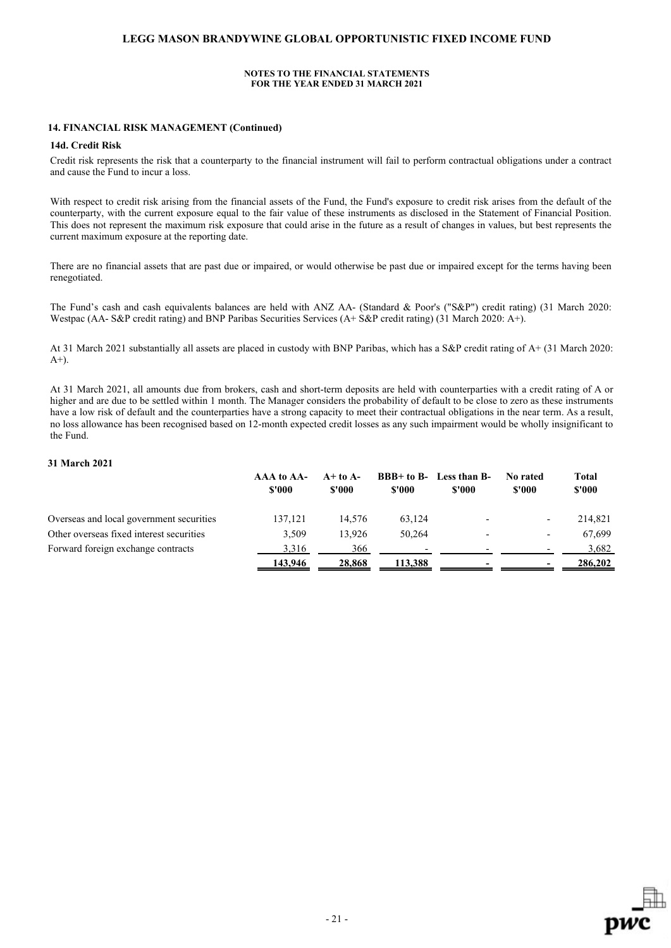### **NOTES TO THE FINANCIAL STATEMENTS FOR THE YEAR ENDED 31 MARCH 2021**

### **14. FINANCIAL RISK MANAGEMENT (Continued)**

### **14d. Credit Risk**

Credit risk represents the risk that a counterparty to the financial instrument will fail to perform contractual obligations under a contract and cause the Fund to incur a loss.

With respect to credit risk arising from the financial assets of the Fund, the Fund's exposure to credit risk arises from the default of the counterparty, with the current exposure equal to the fair value of these instruments as disclosed in the Statement of Financial Position. This does not represent the maximum risk exposure that could arise in the future as a result of changes in values, but best represents the current maximum exposure at the reporting date.

There are no financial assets that are past due or impaired, or would otherwise be past due or impaired except for the terms having been renegotiated.

The Fund's cash and cash equivalents balances are held with ANZ AA- (Standard & Poor's ("S&P") credit rating) (31 March 2020: Westpac (AA- S&P credit rating) and BNP Paribas Securities Services (A+ S&P credit rating) (31 March 2020: A+).

At 31 March 2021 substantially all assets are placed in custody with BNP Paribas, which has a S&P credit rating of A+ (31 March 2020:  $A+$ ).

At 31 March 2021, all amounts due from brokers, cash and short-term deposits are held with counterparties with a credit rating of A or higher and are due to be settled within 1 month. The Manager considers the probability of default to be close to zero as these instruments have a low risk of default and the counterparties have a strong capacity to meet their contractual obligations in the near term. As a result, no loss allowance has been recognised based on 12-month expected credit losses as any such impairment would be wholly insignificant to the Fund.

### **31 March 2021**

|                                          | AAA to AA-<br>\$'000 | $A+$ to $A-$<br>\$'000 | $$^{\prime}000$ | BBB+ to B- Less than B-<br>\$'000 | No rated<br>\$'000 | <b>Total</b><br>\$'000 |
|------------------------------------------|----------------------|------------------------|-----------------|-----------------------------------|--------------------|------------------------|
| Overseas and local government securities | 137,121              | 14.576                 | 63,124          |                                   |                    | 214.821                |
| Other overseas fixed interest securities | 3.509                | 13.926                 | 50,264          |                                   |                    | 67,699                 |
| Forward foreign exchange contracts       | 3.316                | 366                    |                 |                                   |                    | 3,682                  |
|                                          | 143,946              | 28,868                 | 113,388         |                                   |                    | 286,202                |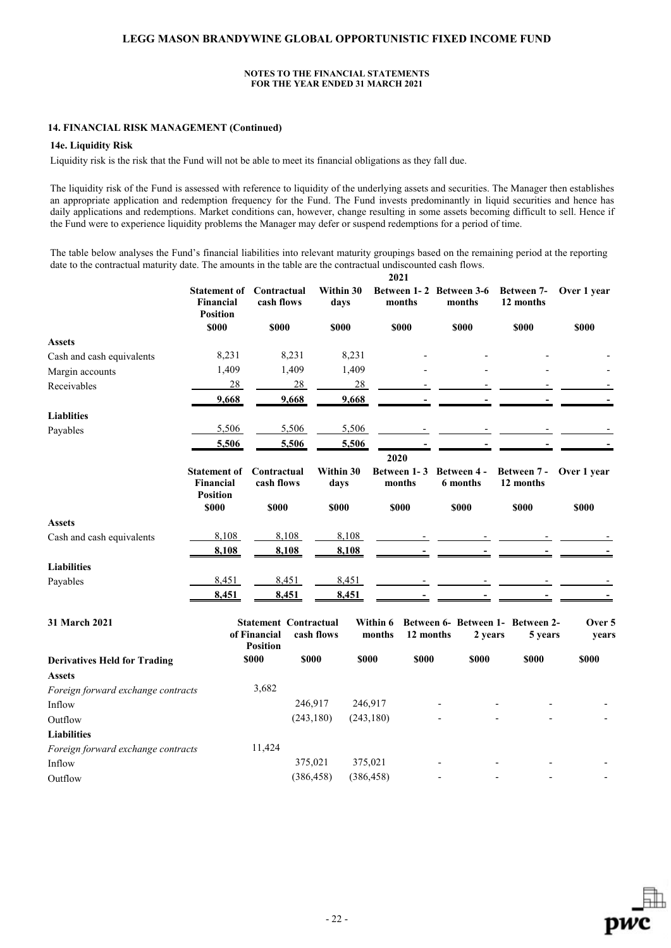### **14. FINANCIAL RISK MANAGEMENT (Continued)**

# **14e. Liquidity Risk**

Liquidity risk is the risk that the Fund will not be able to meet its financial obligations as they fall due.

The liquidity risk of the Fund is assessed with reference to liquidity of the underlying assets and securities. The Manager then establishes an appropriate application and redemption frequency for the Fund. The Fund invests predominantly in liquid securities and hence has daily applications and redemptions. Market conditions can, however, change resulting in some assets becoming difficult to sell. Hence if the Fund were to experience liquidity problems the Manager may defer or suspend redemptions for a period of time.

The table below analyses the Fund's financial liabilities into relevant maturity groupings based on the remaining period at the reporting date to the contractual maturity date. The amounts in the table are the contractual undiscounted cash flows.

|                                     |                                                            |                                                                 |            |                   |                    | 2021                              |                         |                                             |                 |
|-------------------------------------|------------------------------------------------------------|-----------------------------------------------------------------|------------|-------------------|--------------------|-----------------------------------|-------------------------|---------------------------------------------|-----------------|
|                                     | <b>Statement of</b><br><b>Financial</b><br><b>Position</b> | Contractual<br>cash flows                                       |            | Within 30<br>days |                    | Between 1-2 Between 3-6<br>months | months                  | Between 7-<br>12 months                     | Over 1 year     |
|                                     | <b>\$000</b>                                               | <b>\$000</b>                                                    |            | <b>\$000</b>      |                    | <b>\$000</b>                      | \$000                   | \$000                                       | <b>SOOO</b>     |
| Assets                              |                                                            |                                                                 |            |                   |                    |                                   |                         |                                             |                 |
| Cash and cash equivalents           | 8,231                                                      |                                                                 | 8,231      | 8,231             |                    |                                   |                         |                                             |                 |
| Margin accounts                     | 1,409                                                      |                                                                 | 1,409      | 1,409             |                    |                                   |                         |                                             |                 |
| Receivables                         | 28                                                         |                                                                 | 28         |                   | 28                 |                                   |                         |                                             |                 |
|                                     | 9,668                                                      |                                                                 | 9,668      | 9,668             |                    |                                   |                         |                                             |                 |
| <b>Liablities</b>                   |                                                            |                                                                 |            |                   |                    |                                   |                         |                                             |                 |
| Payables                            | 5,506                                                      |                                                                 | 5,506      | 5,506             |                    |                                   |                         |                                             |                 |
|                                     | 5,506                                                      |                                                                 | 5,506      | 5,506             |                    |                                   |                         |                                             |                 |
|                                     |                                                            |                                                                 |            |                   |                    | 2020                              |                         |                                             |                 |
|                                     | <b>Statement of</b><br>Financial<br><b>Position</b>        | Contractual<br>cash flows                                       |            | Within 30<br>days |                    | Between 1-3<br>months             | Between 4 -<br>6 months | Between 7 -<br>12 months                    | Over 1 year     |
|                                     | \$000                                                      | <b>\$000</b>                                                    |            | \$000             |                    | \$000                             | \$000                   | \$000                                       | \$000           |
| <b>Assets</b>                       |                                                            |                                                                 |            |                   |                    |                                   |                         |                                             |                 |
| Cash and cash equivalents           | 8,108                                                      |                                                                 | 8,108      | 8,108             |                    |                                   |                         |                                             |                 |
|                                     | 8,108                                                      |                                                                 | 8,108      | 8,108             |                    |                                   |                         |                                             |                 |
| <b>Liabilities</b>                  |                                                            |                                                                 |            |                   |                    |                                   |                         |                                             |                 |
| Payables                            | 8,451                                                      |                                                                 | 8,451      | 8,451             |                    |                                   |                         |                                             |                 |
|                                     | 8,451                                                      |                                                                 | 8,451      | 8,451             |                    |                                   |                         |                                             |                 |
| 31 March 2021                       |                                                            | <b>Statement Contractual</b><br>of Financial<br><b>Position</b> | cash flows |                   | Within 6<br>months | 12 months                         | 2 years                 | Between 6- Between 1- Between 2-<br>5 years | Over 5<br>years |
| <b>Derivatives Held for Trading</b> |                                                            | \$000                                                           | \$000      |                   | \$000              | \$000                             | \$000                   | \$000                                       | \$000           |
| Assets                              |                                                            |                                                                 |            |                   |                    |                                   |                         |                                             |                 |
| Foreign forward exchange contracts  |                                                            | 3,682                                                           |            |                   |                    |                                   |                         |                                             |                 |
| Inflow                              |                                                            |                                                                 | 246,917    |                   | 246,917            |                                   |                         |                                             |                 |
| Outflow                             |                                                            |                                                                 | (243, 180) |                   | (243, 180)         |                                   |                         |                                             |                 |
| <b>Liabilities</b>                  |                                                            |                                                                 |            |                   |                    |                                   |                         |                                             |                 |
| Foreign forward exchange contracts  |                                                            | 11,424                                                          |            |                   |                    |                                   |                         |                                             |                 |
| Inflow                              |                                                            |                                                                 | 375,021    |                   | 375,021            |                                   |                         |                                             |                 |
| Outflow                             |                                                            |                                                                 | (386, 458) |                   | (386, 458)         |                                   |                         |                                             |                 |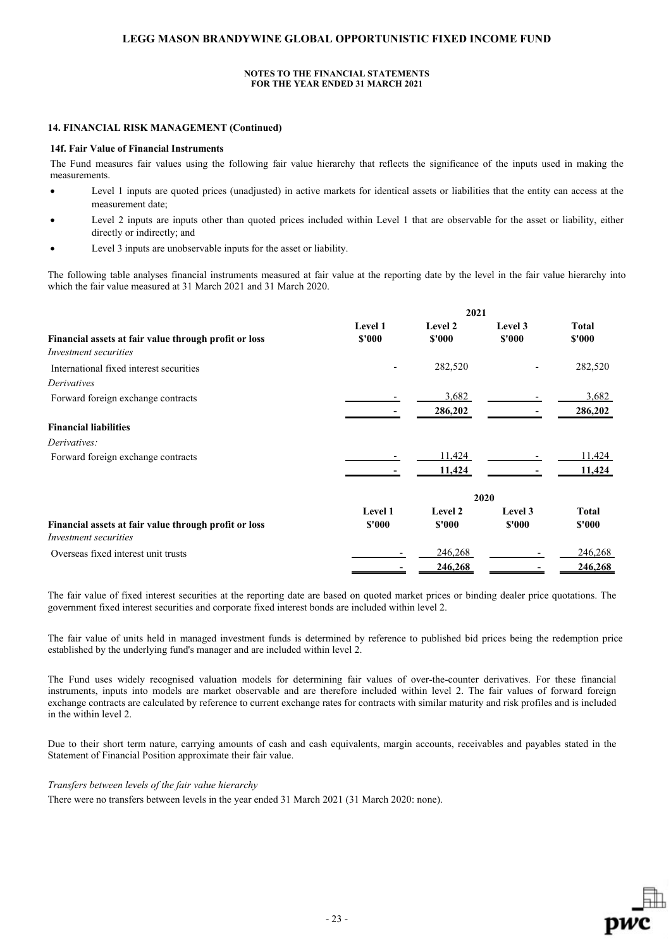### **NOTES TO THE FINANCIAL STATEMENTS FOR THE YEAR ENDED 31 MARCH 2021**

### **14. FINANCIAL RISK MANAGEMENT (Continued)**

#### **14f. Fair Value of Financial Instruments**

The Fund measures fair values using the following fair value hierarchy that reflects the significance of the inputs used in making the measurements.

- Level 1 inputs are quoted prices (unadjusted) in active markets for identical assets or liabilities that the entity can access at the measurement date;
- Level 2 inputs are inputs other than quoted prices included within Level 1 that are observable for the asset or liability, either directly or indirectly; and
- Level 3 inputs are unobservable inputs for the asset or liability.

The following table analyses financial instruments measured at fair value at the reporting date by the level in the fair value hierarchy into which the fair value measured at 31 March 2021 and 31 March 2020.

|                                                       | 2021              |                   |                   |                        |  |  |  |
|-------------------------------------------------------|-------------------|-------------------|-------------------|------------------------|--|--|--|
| Financial assets at fair value through profit or loss | Level 1<br>\$'000 | Level 2<br>\$'000 | Level 3<br>\$'000 | <b>Total</b><br>\$'000 |  |  |  |
| <b>Investment</b> securities                          |                   |                   |                   |                        |  |  |  |
| International fixed interest securities               |                   | 282,520           |                   | 282,520                |  |  |  |
| Derivatives                                           |                   |                   |                   |                        |  |  |  |
| Forward foreign exchange contracts                    |                   | 3,682             |                   | 3,682                  |  |  |  |
|                                                       |                   | 286,202           |                   | 286,202                |  |  |  |
| <b>Financial liabilities</b>                          |                   |                   |                   |                        |  |  |  |
| Derivatives:                                          |                   |                   |                   |                        |  |  |  |
| Forward foreign exchange contracts                    |                   | 11,424            |                   | 11,424                 |  |  |  |
|                                                       |                   | 11,424            |                   | 11,424                 |  |  |  |
|                                                       |                   |                   | 2020              |                        |  |  |  |
|                                                       | <b>Level 1</b>    | <b>Level 2</b>    | Level 3           | Total                  |  |  |  |
| Financial assets at fair value through profit or loss | \$'000            | \$'000            | \$'000            | \$'000                 |  |  |  |
| <i>Investment securities</i>                          |                   |                   |                   |                        |  |  |  |
| Overseas fixed interest unit trusts                   |                   | 246,268           |                   | 246,268                |  |  |  |
|                                                       |                   | 246,268           |                   | 246,268                |  |  |  |

The fair value of fixed interest securities at the reporting date are based on quoted market prices or binding dealer price quotations. The government fixed interest securities and corporate fixed interest bonds are included within level 2.

The fair value of units held in managed investment funds is determined by reference to published bid prices being the redemption price established by the underlying fund's manager and are included within level 2.

The Fund uses widely recognised valuation models for determining fair values of over-the-counter derivatives. For these financial instruments, inputs into models are market observable and are therefore included within level 2. The fair values of forward foreign exchange contracts are calculated by reference to current exchange rates for contracts with similar maturity and risk profiles and is included in the within level 2.

Due to their short term nature, carrying amounts of cash and cash equivalents, margin accounts, receivables and payables stated in the Statement of Financial Position approximate their fair value.

#### *Transfers between levels of the fair value hierarchy*

There were no transfers between levels in the year ended 31 March 2021 (31 March 2020: none).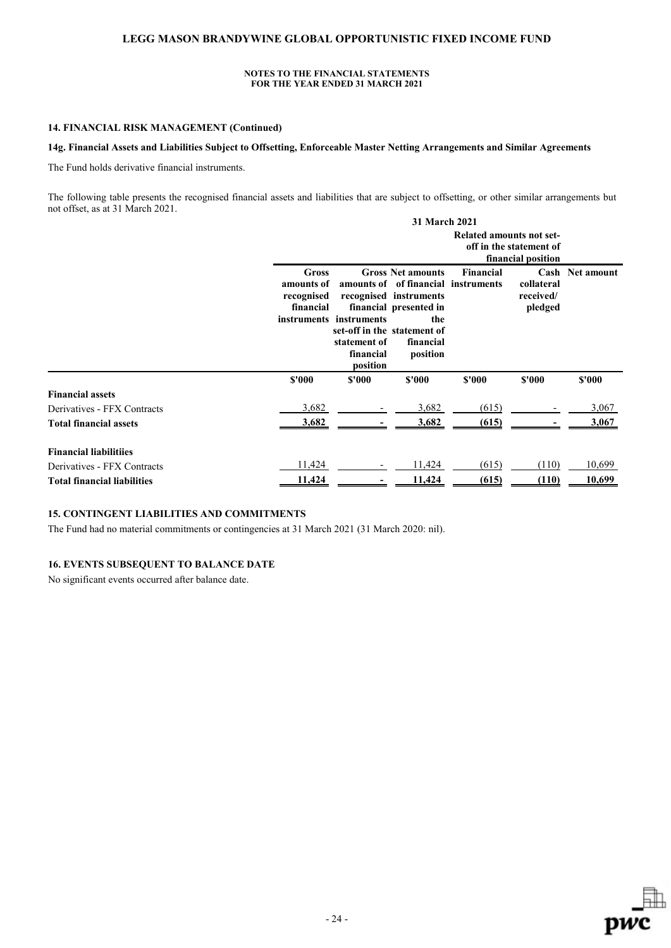### **14. FINANCIAL RISK MANAGEMENT (Continued)**

### **14g. Financial Assets and Liabilities Subject to Offsetting, Enforceable Master Netting Arrangements and Similar Agreements**

The Fund holds derivative financial instruments.

The following table presents the recognised financial assets and liabilities that are subject to offsetting, or other similar arrangements but not offset, as at 31 March 2021. **31 March 2021**

|                                    | 31 March 2021                                  |                                                                  |                                                                                                                                                                                    |                                                                           |                                    |                        |
|------------------------------------|------------------------------------------------|------------------------------------------------------------------|------------------------------------------------------------------------------------------------------------------------------------------------------------------------------------|---------------------------------------------------------------------------|------------------------------------|------------------------|
|                                    |                                                |                                                                  |                                                                                                                                                                                    | Related amounts not set-<br>off in the statement of<br>financial position |                                    |                        |
|                                    | Gross<br>amounts of<br>recognised<br>financial | instruments instruments<br>statement of<br>financial<br>position | <b>Gross Net amounts</b><br>amounts of of financial instruments<br>recognised instruments<br>financial presented in<br>the<br>set-off in the statement of<br>financial<br>position | Financial                                                                 | collateral<br>received/<br>pledged | <b>Cash</b> Net amount |
|                                    | \$'000                                         | \$'000                                                           | \$'000                                                                                                                                                                             | \$'000                                                                    | \$'000                             | \$'000                 |
| <b>Financial assets</b>            |                                                |                                                                  |                                                                                                                                                                                    |                                                                           |                                    |                        |
| Derivatives - FFX Contracts        | 3,682                                          |                                                                  | 3,682                                                                                                                                                                              | (615)                                                                     |                                    | 3,067                  |
| <b>Total financial assets</b>      | 3,682                                          |                                                                  | 3,682                                                                                                                                                                              | (615)                                                                     |                                    | 3,067                  |
| <b>Financial liabilitiies</b>      |                                                |                                                                  |                                                                                                                                                                                    |                                                                           |                                    |                        |
| Derivatives - FFX Contracts        | 11,424                                         |                                                                  | 11,424                                                                                                                                                                             | (615)                                                                     | (110)                              | 10,699                 |
| <b>Total financial liabilities</b> | 11,424                                         |                                                                  | 11,424                                                                                                                                                                             | (615)                                                                     | (110)                              | 10,699                 |

### **15. CONTINGENT LIABILITIES AND COMMITMENTS**

The Fund had no material commitments or contingencies at 31 March 2021 (31 March 2020: nil).

### **16. EVENTS SUBSEQUENT TO BALANCE DATE**

No significant events occurred after balance date.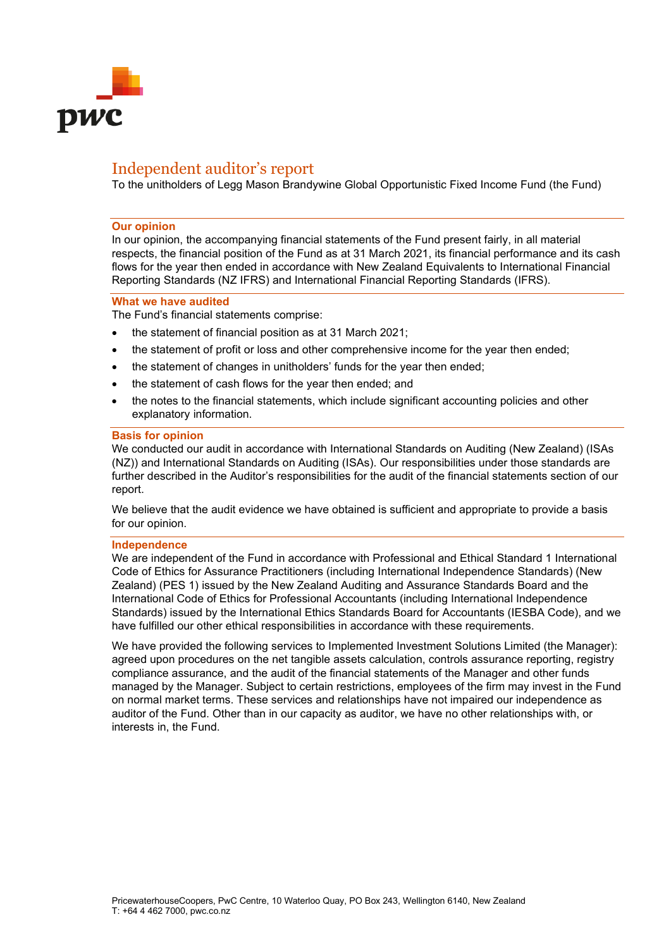

# Independent auditor's report

To the unitholders of Legg Mason Brandywine Global Opportunistic Fixed Income Fund (the Fund)

### **Our opinion**

In our opinion, the accompanying financial statements of the Fund present fairly, in all material respects, the financial position of the Fund as at 31 March 2021, its financial performance and its cash flows for the year then ended in accordance with New Zealand Equivalents to International Financial Reporting Standards (NZ IFRS) and International Financial Reporting Standards (IFRS).

### **What we have audited**

The Fund's financial statements comprise:

- the statement of financial position as at 31 March 2021;
- the statement of profit or loss and other comprehensive income for the year then ended;
- the statement of changes in unitholders' funds for the year then ended;
- the statement of cash flows for the year then ended; and
- the notes to the financial statements, which include significant accounting policies and other explanatory information.

### **Basis for opinion**

We conducted our audit in accordance with International Standards on Auditing (New Zealand) (ISAs (NZ)) and International Standards on Auditing (ISAs). Our responsibilities under those standards are further described in the Auditor's responsibilities for the audit of the financial statements section of our report.

We believe that the audit evidence we have obtained is sufficient and appropriate to provide a basis for our opinion.

### **Independence**

We are independent of the Fund in accordance with Professional and Ethical Standard 1 International Code of Ethics for Assurance Practitioners (including International Independence Standards) (New Zealand) (PES 1) issued by the New Zealand Auditing and Assurance Standards Board and the International Code of Ethics for Professional Accountants (including International Independence Standards) issued by the International Ethics Standards Board for Accountants (IESBA Code), and we have fulfilled our other ethical responsibilities in accordance with these requirements.

We have provided the following services to Implemented Investment Solutions Limited (the Manager): agreed upon procedures on the net tangible assets calculation, controls assurance reporting, registry compliance assurance, and the audit of the financial statements of the Manager and other funds managed by the Manager. Subject to certain restrictions, employees of the firm may invest in the Fund on normal market terms. These services and relationships have not impaired our independence as auditor of the Fund. Other than in our capacity as auditor, we have no other relationships with, or interests in, the Fund.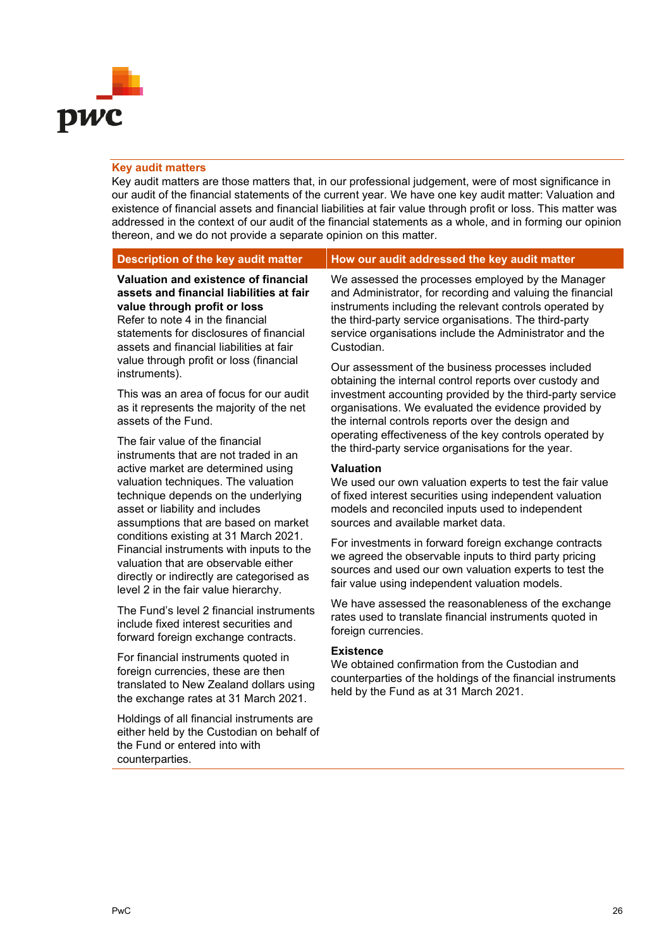

### **Key audit matters**

Key audit matters are those matters that, in our professional judgement, were of most significance in our audit of the financial statements of the current year. We have one key audit matter: Valuation and existence of financial assets and financial liabilities at fair value through profit or loss. This matter was addressed in the context of our audit of the financial statements as a whole, and in forming our opinion thereon, and we do not provide a separate opinion on this matter.

**Valuation and existence of financial assets and financial liabilities at fair value through profit or loss** Refer to note 4 in the financial statements for disclosures of financial assets and financial liabilities at fair value through profit or loss (financial

instruments). This was an area of focus for our audit as it represents the majority of the net assets of the Fund.

The fair value of the financial instruments that are not traded in an active market are determined using valuation techniques. The valuation technique depends on the underlying asset or liability and includes assumptions that are based on market conditions existing at 31 March 2021. Financial instruments with inputs to the valuation that are observable either directly or indirectly are categorised as level 2 in the fair value hierarchy.

The Fund's level 2 financial instruments include fixed interest securities and forward foreign exchange contracts.

For financial instruments quoted in foreign currencies, these are then translated to New Zealand dollars using the exchange rates at 31 March 2021.

Holdings of all financial instruments are either held by the Custodian on behalf of the Fund or entered into with counterparties.

We assessed the processes employed by the Manager and Administrator, for recording and valuing the financial instruments including the relevant controls operated by the third-party service organisations. The third-party service organisations include the Administrator and the Custodian.

Our assessment of the business processes included obtaining the internal control reports over custody and investment accounting provided by the third-party service organisations. We evaluated the evidence provided by the internal controls reports over the design and operating effectiveness of the key controls operated by the third-party service organisations for the year.

# **Valuation**

We used our own valuation experts to test the fair value of fixed interest securities using independent valuation models and reconciled inputs used to independent sources and available market data.

For investments in forward foreign exchange contracts we agreed the observable inputs to third party pricing sources and used our own valuation experts to test the fair value using independent valuation models.

We have assessed the reasonableness of the exchange rates used to translate financial instruments quoted in foreign currencies.

### **Existence**

We obtained confirmation from the Custodian and counterparties of the holdings of the financial instruments held by the Fund as at 31 March 2021.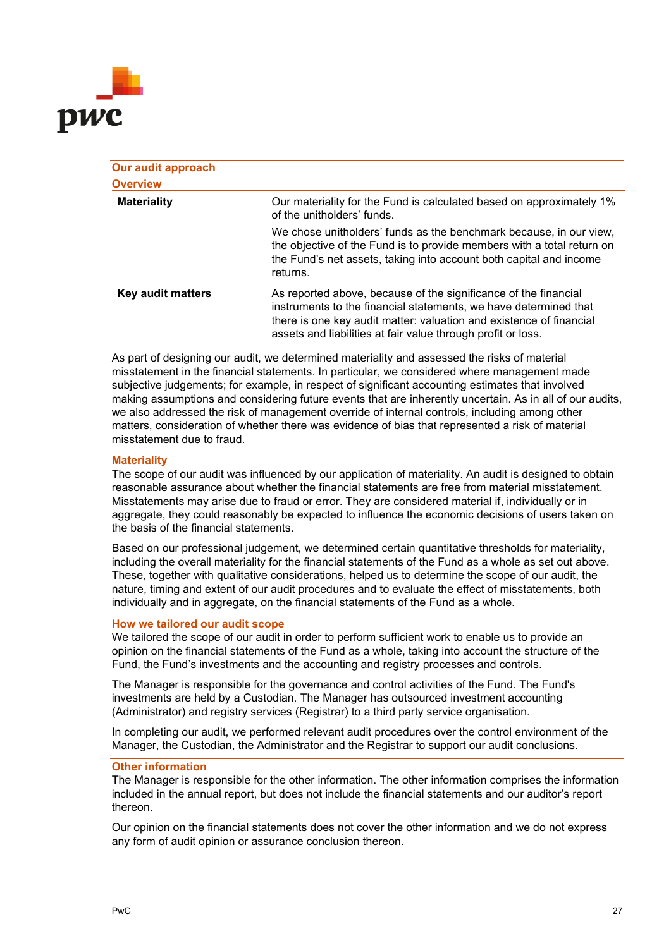

| Our audit approach<br><b>Overview</b> |                                                                                                                                                                                                                                                                            |
|---------------------------------------|----------------------------------------------------------------------------------------------------------------------------------------------------------------------------------------------------------------------------------------------------------------------------|
| <b>Materiality</b>                    | Our materiality for the Fund is calculated based on approximately 1%<br>of the unitholders' funds.                                                                                                                                                                         |
|                                       | We chose unitholders' funds as the benchmark because, in our view,<br>the objective of the Fund is to provide members with a total return on<br>the Fund's net assets, taking into account both capital and income<br>returns.                                             |
| Key audit matters                     | As reported above, because of the significance of the financial<br>instruments to the financial statements, we have determined that<br>there is one key audit matter: valuation and existence of financial<br>assets and liabilities at fair value through profit or loss. |

As part of designing our audit, we determined materiality and assessed the risks of material misstatement in the financial statements. In particular, we considered where management made subjective judgements; for example, in respect of significant accounting estimates that involved making assumptions and considering future events that are inherently uncertain. As in all of our audits, we also addressed the risk of management override of internal controls, including among other matters, consideration of whether there was evidence of bias that represented a risk of material misstatement due to fraud.

# **Materiality**

The scope of our audit was influenced by our application of materiality. An audit is designed to obtain reasonable assurance about whether the financial statements are free from material misstatement. Misstatements may arise due to fraud or error. They are considered material if, individually or in aggregate, they could reasonably be expected to influence the economic decisions of users taken on the basis of the financial statements.

Based on our professional judgement, we determined certain quantitative thresholds for materiality, including the overall materiality for the financial statements of the Fund as a whole as set out above. These, together with qualitative considerations, helped us to determine the scope of our audit, the nature, timing and extent of our audit procedures and to evaluate the effect of misstatements, both individually and in aggregate, on the financial statements of the Fund as a whole.

### **How we tailored our audit scope**

We tailored the scope of our audit in order to perform sufficient work to enable us to provide an opinion on the financial statements of the Fund as a whole, taking into account the structure of the Fund, the Fund's investments and the accounting and registry processes and controls.

The Manager is responsible for the governance and control activities of the Fund. The Fund's investments are held by a Custodian. The Manager has outsourced investment accounting (Administrator) and registry services (Registrar) to a third party service organisation.

In completing our audit, we performed relevant audit procedures over the control environment of the Manager, the Custodian, the Administrator and the Registrar to support our audit conclusions.

### **Other information**

The Manager is responsible for the other information. The other information comprises the information included in the annual report, but does not include the financial statements and our auditor's report thereon.

Our opinion on the financial statements does not cover the other information and we do not express any form of audit opinion or assurance conclusion thereon.